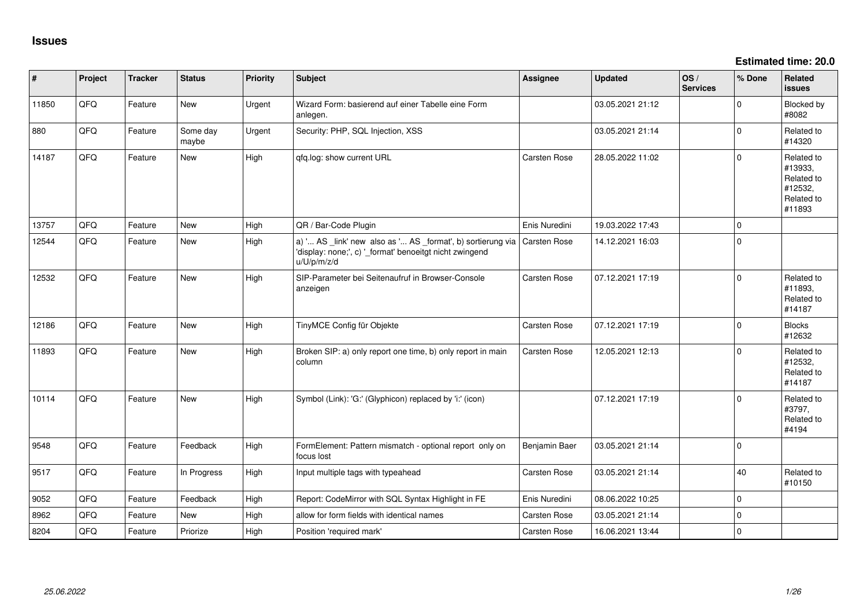**Estimated time: 20.0**

| $\sharp$ | Project | <b>Tracker</b> | <b>Status</b>     | <b>Priority</b> | Subject                                                                                                                               | Assignee      | <b>Updated</b>   | OS/<br><b>Services</b> | % Done      | <b>Related</b><br><b>issues</b>                                        |
|----------|---------|----------------|-------------------|-----------------|---------------------------------------------------------------------------------------------------------------------------------------|---------------|------------------|------------------------|-------------|------------------------------------------------------------------------|
| 11850    | QFQ     | Feature        | <b>New</b>        | Urgent          | Wizard Form: basierend auf einer Tabelle eine Form<br>anlegen.                                                                        |               | 03.05.2021 21:12 |                        | $\Omega$    | Blocked by<br>#8082                                                    |
| 880      | QFQ     | Feature        | Some day<br>maybe | Urgent          | Security: PHP, SQL Injection, XSS                                                                                                     |               | 03.05.2021 21:14 |                        | $\Omega$    | Related to<br>#14320                                                   |
| 14187    | QFQ     | Feature        | New               | High            | qfq.log: show current URL                                                                                                             | Carsten Rose  | 28.05.2022 11:02 |                        | $\Omega$    | Related to<br>#13933,<br>Related to<br>#12532,<br>Related to<br>#11893 |
| 13757    | QFQ     | Feature        | <b>New</b>        | High            | QR / Bar-Code Plugin                                                                                                                  | Enis Nuredini | 19.03.2022 17:43 |                        | $\mathbf 0$ |                                                                        |
| 12544    | QFQ     | Feature        | New               | High            | a) ' AS _link' new also as ' AS _format', b) sortierung via<br>'display: none;', c) '_format' benoeitgt nicht zwingend<br>u/U/p/m/z/d | Carsten Rose  | 14.12.2021 16:03 |                        | $\mathbf 0$ |                                                                        |
| 12532    | QFQ     | Feature        | New               | High            | SIP-Parameter bei Seitenaufruf in Browser-Console<br>anzeigen                                                                         | Carsten Rose  | 07.12.2021 17:19 |                        | $\Omega$    | Related to<br>#11893,<br>Related to<br>#14187                          |
| 12186    | QFQ     | Feature        | New               | High            | TinyMCE Config für Objekte                                                                                                            | Carsten Rose  | 07.12.2021 17:19 |                        | $\Omega$    | <b>Blocks</b><br>#12632                                                |
| 11893    | QFQ     | Feature        | New               | High            | Broken SIP: a) only report one time, b) only report in main<br>column                                                                 | Carsten Rose  | 12.05.2021 12:13 |                        | $\Omega$    | Related to<br>#12532,<br>Related to<br>#14187                          |
| 10114    | QFQ     | Feature        | New               | High            | Symbol (Link): 'G:' (Glyphicon) replaced by 'i:' (icon)                                                                               |               | 07.12.2021 17:19 |                        | $\Omega$    | Related to<br>#3797,<br>Related to<br>#4194                            |
| 9548     | QFQ     | Feature        | Feedback          | High            | FormElement: Pattern mismatch - optional report only on<br>focus lost                                                                 | Benjamin Baer | 03.05.2021 21:14 |                        | $\mathbf 0$ |                                                                        |
| 9517     | QFQ     | Feature        | In Progress       | High            | Input multiple tags with typeahead                                                                                                    | Carsten Rose  | 03.05.2021 21:14 |                        | 40          | Related to<br>#10150                                                   |
| 9052     | QFQ     | Feature        | Feedback          | High            | Report: CodeMirror with SQL Syntax Highlight in FE                                                                                    | Enis Nuredini | 08.06.2022 10:25 |                        | $\mathbf 0$ |                                                                        |
| 8962     | QFQ     | Feature        | New               | High            | allow for form fields with identical names                                                                                            | Carsten Rose  | 03.05.2021 21:14 |                        | $\mathbf 0$ |                                                                        |
| 8204     | QFQ     | Feature        | Priorize          | High            | Position 'required mark'                                                                                                              | Carsten Rose  | 16.06.2021 13:44 |                        | $\mathbf 0$ |                                                                        |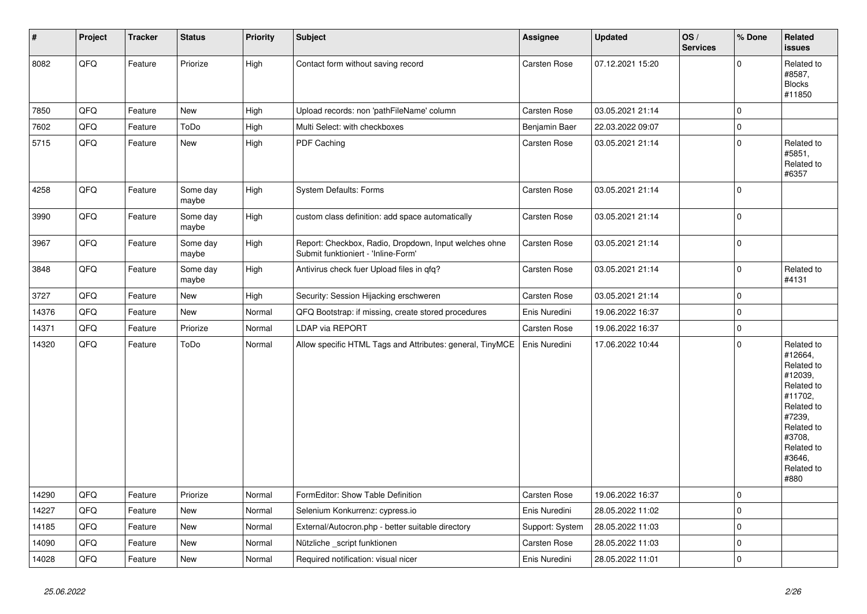| $\vert$ # | Project | <b>Tracker</b> | <b>Status</b>     | <b>Priority</b> | <b>Subject</b>                                                                               | <b>Assignee</b> | <b>Updated</b>   | OS/<br><b>Services</b> | % Done      | Related<br><b>issues</b>                                                                                                                                              |
|-----------|---------|----------------|-------------------|-----------------|----------------------------------------------------------------------------------------------|-----------------|------------------|------------------------|-------------|-----------------------------------------------------------------------------------------------------------------------------------------------------------------------|
| 8082      | QFQ     | Feature        | Priorize          | High            | Contact form without saving record                                                           | Carsten Rose    | 07.12.2021 15:20 |                        | $\Omega$    | Related to<br>#8587.<br><b>Blocks</b><br>#11850                                                                                                                       |
| 7850      | QFQ     | Feature        | <b>New</b>        | High            | Upload records: non 'pathFileName' column                                                    | Carsten Rose    | 03.05.2021 21:14 |                        | $\mathbf 0$ |                                                                                                                                                                       |
| 7602      | QFQ     | Feature        | ToDo              | High            | Multi Select: with checkboxes                                                                | Benjamin Baer   | 22.03.2022 09:07 |                        | $\mathbf 0$ |                                                                                                                                                                       |
| 5715      | QFQ     | Feature        | New               | High            | PDF Caching                                                                                  | Carsten Rose    | 03.05.2021 21:14 |                        | $\mathbf 0$ | Related to<br>#5851,<br>Related to<br>#6357                                                                                                                           |
| 4258      | QFQ     | Feature        | Some day<br>maybe | High            | <b>System Defaults: Forms</b>                                                                | Carsten Rose    | 03.05.2021 21:14 |                        | $\mathbf 0$ |                                                                                                                                                                       |
| 3990      | QFQ     | Feature        | Some day<br>maybe | High            | custom class definition: add space automatically                                             | Carsten Rose    | 03.05.2021 21:14 |                        | $\mathbf 0$ |                                                                                                                                                                       |
| 3967      | QFQ     | Feature        | Some day<br>maybe | High            | Report: Checkbox, Radio, Dropdown, Input welches ohne<br>Submit funktioniert - 'Inline-Form' | Carsten Rose    | 03.05.2021 21:14 |                        | $\Omega$    |                                                                                                                                                                       |
| 3848      | QFQ     | Feature        | Some day<br>maybe | High            | Antivirus check fuer Upload files in qfq?                                                    | Carsten Rose    | 03.05.2021 21:14 |                        | $\mathbf 0$ | Related to<br>#4131                                                                                                                                                   |
| 3727      | QFQ     | Feature        | New               | High            | Security: Session Hijacking erschweren                                                       | Carsten Rose    | 03.05.2021 21:14 |                        | $\mathbf 0$ |                                                                                                                                                                       |
| 14376     | QFQ     | Feature        | New               | Normal          | QFQ Bootstrap: if missing, create stored procedures                                          | Enis Nuredini   | 19.06.2022 16:37 |                        | $\mathbf 0$ |                                                                                                                                                                       |
| 14371     | QFQ     | Feature        | Priorize          | Normal          | <b>LDAP via REPORT</b>                                                                       | Carsten Rose    | 19.06.2022 16:37 |                        | $\mathbf 0$ |                                                                                                                                                                       |
| 14320     | QFQ     | Feature        | ToDo              | Normal          | Allow specific HTML Tags and Attributes: general, TinyMCE                                    | Enis Nuredini   | 17.06.2022 10:44 |                        | $\mathbf 0$ | Related to<br>#12664,<br>Related to<br>#12039,<br>Related to<br>#11702,<br>Related to<br>#7239,<br>Related to<br>#3708,<br>Related to<br>#3646,<br>Related to<br>#880 |
| 14290     | QFQ     | Feature        | Priorize          | Normal          | FormEditor: Show Table Definition                                                            | Carsten Rose    | 19.06.2022 16:37 |                        | $\mathbf 0$ |                                                                                                                                                                       |
| 14227     | QFQ     | Feature        | New               | Normal          | Selenium Konkurrenz: cypress.io                                                              | Enis Nuredini   | 28.05.2022 11:02 |                        | $\mathbf 0$ |                                                                                                                                                                       |
| 14185     | QFQ     | Feature        | New               | Normal          | External/Autocron.php - better suitable directory                                            | Support: System | 28.05.2022 11:03 |                        | $\mathbf 0$ |                                                                                                                                                                       |
| 14090     | QFQ     | Feature        | New               | Normal          | Nützliche _script funktionen                                                                 | Carsten Rose    | 28.05.2022 11:03 |                        | $\pmb{0}$   |                                                                                                                                                                       |
| 14028     | QFQ     | Feature        | New               | Normal          | Required notification: visual nicer                                                          | Enis Nuredini   | 28.05.2022 11:01 |                        | $\mathbf 0$ |                                                                                                                                                                       |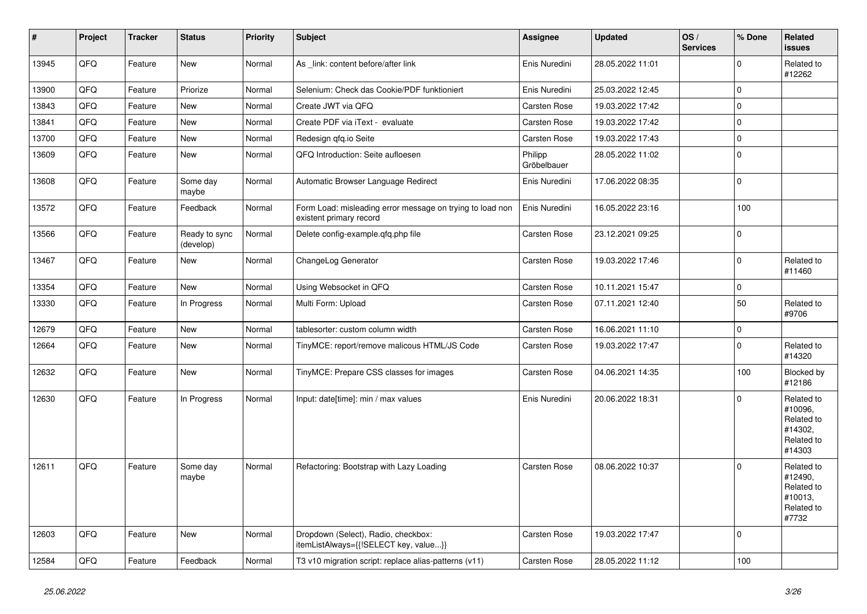| #     | Project | <b>Tracker</b> | <b>Status</b>              | <b>Priority</b> | <b>Subject</b>                                                                       | Assignee               | <b>Updated</b>   | OS/<br><b>Services</b> | % Done      | Related<br><b>issues</b>                                               |
|-------|---------|----------------|----------------------------|-----------------|--------------------------------------------------------------------------------------|------------------------|------------------|------------------------|-------------|------------------------------------------------------------------------|
| 13945 | QFQ     | Feature        | New                        | Normal          | As link: content before/after link                                                   | Enis Nuredini          | 28.05.2022 11:01 |                        | 0           | Related to<br>#12262                                                   |
| 13900 | QFQ     | Feature        | Priorize                   | Normal          | Selenium: Check das Cookie/PDF funktioniert                                          | Enis Nuredini          | 25.03.2022 12:45 |                        | 0           |                                                                        |
| 13843 | QFQ     | Feature        | <b>New</b>                 | Normal          | Create JWT via QFQ                                                                   | Carsten Rose           | 19.03.2022 17:42 |                        | $\Omega$    |                                                                        |
| 13841 | QFQ     | Feature        | <b>New</b>                 | Normal          | Create PDF via iText - evaluate                                                      | Carsten Rose           | 19.03.2022 17:42 |                        | 0           |                                                                        |
| 13700 | QFQ     | Feature        | <b>New</b>                 | Normal          | Redesign gfg.io Seite                                                                | <b>Carsten Rose</b>    | 19.03.2022 17:43 |                        | 0           |                                                                        |
| 13609 | QFQ     | Feature        | <b>New</b>                 | Normal          | QFQ Introduction: Seite aufloesen                                                    | Philipp<br>Gröbelbauer | 28.05.2022 11:02 |                        | 0           |                                                                        |
| 13608 | QFQ     | Feature        | Some day<br>maybe          | Normal          | Automatic Browser Language Redirect                                                  | Enis Nuredini          | 17.06.2022 08:35 |                        | 0           |                                                                        |
| 13572 | QFQ     | Feature        | Feedback                   | Normal          | Form Load: misleading error message on trying to load non<br>existent primary record | Enis Nuredini          | 16.05.2022 23:16 |                        | 100         |                                                                        |
| 13566 | QFQ     | Feature        | Ready to sync<br>(develop) | Normal          | Delete config-example.qfq.php file                                                   | Carsten Rose           | 23.12.2021 09:25 |                        | 0           |                                                                        |
| 13467 | QFQ     | Feature        | New                        | Normal          | ChangeLog Generator                                                                  | <b>Carsten Rose</b>    | 19.03.2022 17:46 |                        | 0           | Related to<br>#11460                                                   |
| 13354 | QFQ     | Feature        | <b>New</b>                 | Normal          | Using Websocket in QFQ                                                               | Carsten Rose           | 10.11.2021 15:47 |                        | $\mathsf 0$ |                                                                        |
| 13330 | QFQ     | Feature        | In Progress                | Normal          | Multi Form: Upload                                                                   | Carsten Rose           | 07.11.2021 12:40 |                        | 50          | Related to<br>#9706                                                    |
| 12679 | QFQ     | Feature        | <b>New</b>                 | Normal          | tablesorter: custom column width                                                     | Carsten Rose           | 16.06.2021 11:10 |                        | 0           |                                                                        |
| 12664 | QFQ     | Feature        | <b>New</b>                 | Normal          | TinyMCE: report/remove malicous HTML/JS Code                                         | <b>Carsten Rose</b>    | 19.03.2022 17:47 |                        | 0           | Related to<br>#14320                                                   |
| 12632 | QFQ     | Feature        | <b>New</b>                 | Normal          | TinyMCE: Prepare CSS classes for images                                              | <b>Carsten Rose</b>    | 04.06.2021 14:35 |                        | 100         | Blocked by<br>#12186                                                   |
| 12630 | QFQ     | Feature        | In Progress                | Normal          | Input: date[time]: min / max values                                                  | Enis Nuredini          | 20.06.2022 18:31 |                        | $\Omega$    | Related to<br>#10096,<br>Related to<br>#14302,<br>Related to<br>#14303 |
| 12611 | QFQ     | Feature        | Some day<br>maybe          | Normal          | Refactoring: Bootstrap with Lazy Loading                                             | Carsten Rose           | 08.06.2022 10:37 |                        | $\Omega$    | Related to<br>#12490,<br>Related to<br>#10013,<br>Related to<br>#7732  |
| 12603 | QFQ     | Feature        | New                        | Normal          | Dropdown (Select), Radio, checkbox:<br>itemListAlways={{!SELECT key, value}}         | Carsten Rose           | 19.03.2022 17:47 |                        | $\Omega$    |                                                                        |
| 12584 | QFQ     | Feature        | Feedback                   | Normal          | T3 v10 migration script: replace alias-patterns (v11)                                | <b>Carsten Rose</b>    | 28.05.2022 11:12 |                        | 100         |                                                                        |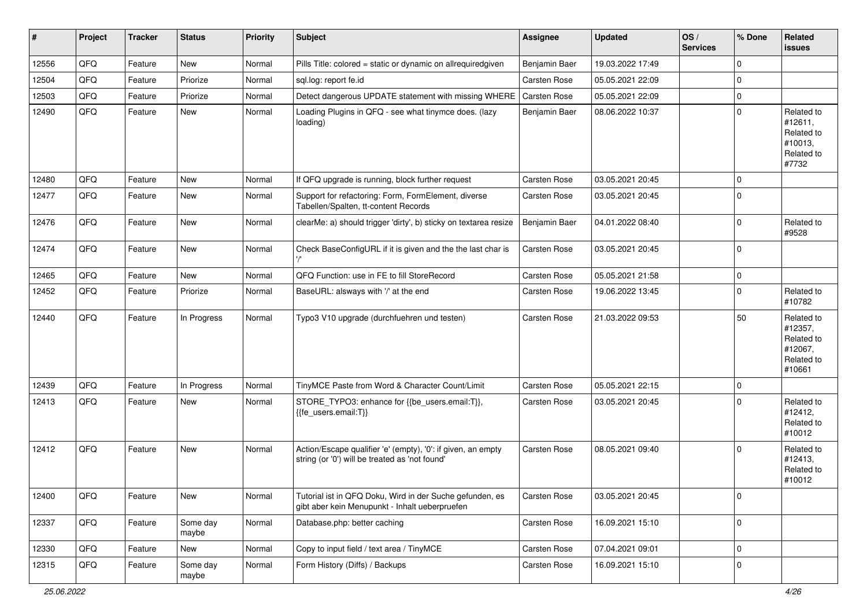| #     | Project | <b>Tracker</b> | <b>Status</b>     | <b>Priority</b> | Subject                                                                                                        | <b>Assignee</b> | <b>Updated</b>   | OS/<br><b>Services</b> | % Done      | Related<br>issues                                                      |
|-------|---------|----------------|-------------------|-----------------|----------------------------------------------------------------------------------------------------------------|-----------------|------------------|------------------------|-------------|------------------------------------------------------------------------|
| 12556 | QFQ     | Feature        | New               | Normal          | Pills Title: colored = static or dynamic on allrequiredgiven                                                   | Benjamin Baer   | 19.03.2022 17:49 |                        | $\mathbf 0$ |                                                                        |
| 12504 | QFQ     | Feature        | Priorize          | Normal          | sql.log: report fe.id                                                                                          | Carsten Rose    | 05.05.2021 22:09 |                        | $\pmb{0}$   |                                                                        |
| 12503 | QFQ     | Feature        | Priorize          | Normal          | Detect dangerous UPDATE statement with missing WHERE                                                           | Carsten Rose    | 05.05.2021 22:09 |                        | $\mathbf 0$ |                                                                        |
| 12490 | QFQ     | Feature        | New               | Normal          | Loading Plugins in QFQ - see what tinymce does. (lazy<br>loading)                                              | Benjamin Baer   | 08.06.2022 10:37 |                        | $\mathbf 0$ | Related to<br>#12611,<br>Related to<br>#10013,<br>Related to<br>#7732  |
| 12480 | QFQ     | Feature        | New               | Normal          | If QFQ upgrade is running, block further request                                                               | Carsten Rose    | 03.05.2021 20:45 |                        | $\mathbf 0$ |                                                                        |
| 12477 | QFQ     | Feature        | New               | Normal          | Support for refactoring: Form, FormElement, diverse<br>Tabellen/Spalten, tt-content Records                    | Carsten Rose    | 03.05.2021 20:45 |                        | $\Omega$    |                                                                        |
| 12476 | QFQ     | Feature        | New               | Normal          | clearMe: a) should trigger 'dirty', b) sticky on textarea resize                                               | Benjamin Baer   | 04.01.2022 08:40 |                        | $\mathbf 0$ | Related to<br>#9528                                                    |
| 12474 | QFQ     | Feature        | New               | Normal          | Check BaseConfigURL if it is given and the the last char is                                                    | Carsten Rose    | 03.05.2021 20:45 |                        | $\mathbf 0$ |                                                                        |
| 12465 | QFQ     | Feature        | New               | Normal          | QFQ Function: use in FE to fill StoreRecord                                                                    | Carsten Rose    | 05.05.2021 21:58 |                        | $\mathbf 0$ |                                                                        |
| 12452 | QFQ     | Feature        | Priorize          | Normal          | BaseURL: alsways with '/' at the end                                                                           | Carsten Rose    | 19.06.2022 13:45 |                        | $\mathbf 0$ | Related to<br>#10782                                                   |
| 12440 | QFQ     | Feature        | In Progress       | Normal          | Typo3 V10 upgrade (durchfuehren und testen)                                                                    | Carsten Rose    | 21.03.2022 09:53 |                        | 50          | Related to<br>#12357,<br>Related to<br>#12067,<br>Related to<br>#10661 |
| 12439 | QFQ     | Feature        | In Progress       | Normal          | TinyMCE Paste from Word & Character Count/Limit                                                                | Carsten Rose    | 05.05.2021 22:15 |                        | $\pmb{0}$   |                                                                        |
| 12413 | QFQ     | Feature        | New               | Normal          | STORE_TYPO3: enhance for {{be_users.email:T}},<br>{{fe users.email:T}}                                         | Carsten Rose    | 03.05.2021 20:45 |                        | $\Omega$    | Related to<br>#12412,<br>Related to<br>#10012                          |
| 12412 | QFQ     | Feature        | New               | Normal          | Action/Escape qualifier 'e' (empty), '0': if given, an empty<br>string (or '0') will be treated as 'not found' | Carsten Rose    | 08.05.2021 09:40 |                        | $\Omega$    | Related to<br>#12413,<br>Related to<br>#10012                          |
| 12400 | QFQ     | Feature        | New               | Normal          | Tutorial ist in QFQ Doku, Wird in der Suche gefunden, es<br>gibt aber kein Menupunkt - Inhalt ueberpruefen     | Carsten Rose    | 03.05.2021 20:45 |                        | 0           |                                                                        |
| 12337 | QFQ     | Feature        | Some day<br>maybe | Normal          | Database.php: better caching                                                                                   | Carsten Rose    | 16.09.2021 15:10 |                        | 0           |                                                                        |
| 12330 | QFQ     | Feature        | New               | Normal          | Copy to input field / text area / TinyMCE                                                                      | Carsten Rose    | 07.04.2021 09:01 |                        | $\mathbf 0$ |                                                                        |
| 12315 | QFQ     | Feature        | Some day<br>maybe | Normal          | Form History (Diffs) / Backups                                                                                 | Carsten Rose    | 16.09.2021 15:10 |                        | $\mathbf 0$ |                                                                        |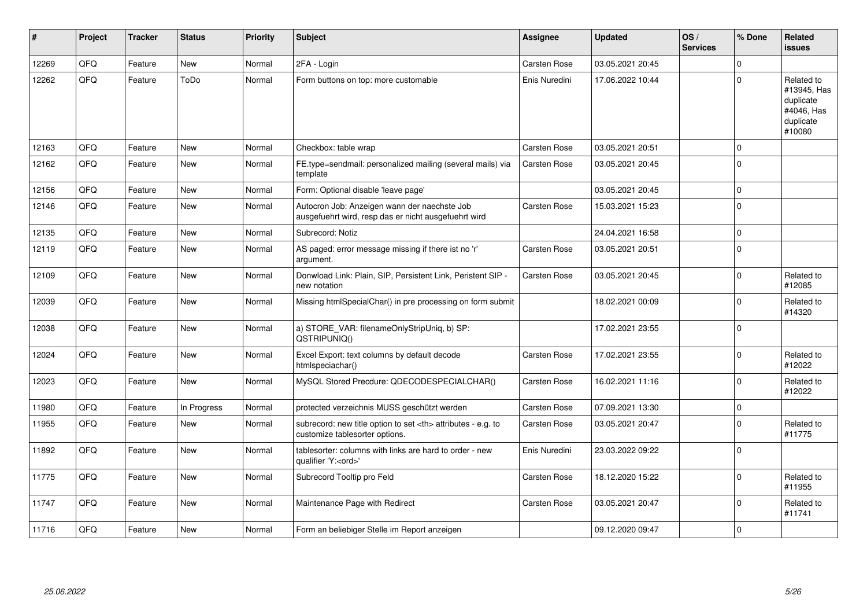| #     | Project | <b>Tracker</b> | <b>Status</b> | <b>Priority</b> | Subject                                                                                              | Assignee                                               | <b>Updated</b>   | OS/<br><b>Services</b> | % Done      | Related<br>issues                                                           |                      |
|-------|---------|----------------|---------------|-----------------|------------------------------------------------------------------------------------------------------|--------------------------------------------------------|------------------|------------------------|-------------|-----------------------------------------------------------------------------|----------------------|
| 12269 | QFQ     | Feature        | <b>New</b>    | Normal          | 2FA - Login                                                                                          | Carsten Rose                                           | 03.05.2021 20:45 |                        | 0           |                                                                             |                      |
| 12262 | QFQ     | Feature        | ToDo          | Normal          | Form buttons on top: more customable                                                                 | Enis Nuredini                                          | 17.06.2022 10:44 |                        | $\Omega$    | Related to<br>#13945, Has<br>duplicate<br>#4046, Has<br>duplicate<br>#10080 |                      |
| 12163 | QFQ     | Feature        | <b>New</b>    | Normal          | Checkbox: table wrap                                                                                 | Carsten Rose                                           | 03.05.2021 20:51 |                        | 0           |                                                                             |                      |
| 12162 | QFQ     | Feature        | <b>New</b>    | Normal          | FE.type=sendmail: personalized mailing (several mails) via<br>template                               | Carsten Rose                                           | 03.05.2021 20:45 |                        | $\Omega$    |                                                                             |                      |
| 12156 | QFQ     | Feature        | <b>New</b>    | Normal          | Form: Optional disable 'leave page'                                                                  |                                                        | 03.05.2021 20:45 |                        | $\Omega$    |                                                                             |                      |
| 12146 | QFQ     | Feature        | <b>New</b>    | Normal          | Autocron Job: Anzeigen wann der naechste Job<br>ausgefuehrt wird, resp das er nicht ausgefuehrt wird | Carsten Rose                                           | 15.03.2021 15:23 |                        | $\Omega$    |                                                                             |                      |
| 12135 | QFQ     | Feature        | <b>New</b>    | Normal          | Subrecord: Notiz                                                                                     |                                                        | 24.04.2021 16:58 |                        | $\mathbf 0$ |                                                                             |                      |
| 12119 | QFQ     | Feature        | <b>New</b>    | Normal          | AS paged: error message missing if there ist no 'r'<br>argument.                                     | Carsten Rose                                           | 03.05.2021 20:51 |                        | $\Omega$    |                                                                             |                      |
| 12109 | QFQ     | Feature        | <b>New</b>    | Normal          | Donwload Link: Plain, SIP, Persistent Link, Peristent SIP -<br>new notation                          | <b>Carsten Rose</b>                                    | 03.05.2021 20:45 |                        | 0           | Related to<br>#12085                                                        |                      |
| 12039 | QFQ     | Feature        | <b>New</b>    | Normal          | Missing htmlSpecialChar() in pre processing on form submit                                           |                                                        | 18.02.2021 00:09 |                        | 0           | Related to<br>#14320                                                        |                      |
| 12038 | QFQ     | Feature        | <b>New</b>    | Normal          | a) STORE_VAR: filenameOnlyStripUniq, b) SP:<br>QSTRIPUNIQ()                                          |                                                        | 17.02.2021 23:55 |                        | $\Omega$    |                                                                             |                      |
| 12024 | QFQ     | Feature        | <b>New</b>    | Normal          | Excel Export: text columns by default decode<br>htmlspeciachar()                                     | Carsten Rose                                           | 17.02.2021 23:55 |                        | $\Omega$    | Related to<br>#12022                                                        |                      |
| 12023 | QFQ     | Feature        | <b>New</b>    | Normal          | MySQL Stored Precdure: QDECODESPECIALCHAR()                                                          | Carsten Rose                                           | 16.02.2021 11:16 |                        | $\Omega$    | Related to<br>#12022                                                        |                      |
| 11980 | QFQ     | Feature        | In Progress   | Normal          | protected verzeichnis MUSS geschützt werden                                                          | <b>Carsten Rose</b>                                    | 07.09.2021 13:30 |                        | 0           |                                                                             |                      |
| 11955 | QFQ     | Feature        | <b>New</b>    | Normal          | subrecord: new title option to set <th> attributes - e.g. to<br/>customize tablesorter options.</th> | attributes - e.g. to<br>customize tablesorter options. | Carsten Rose     | 03.05.2021 20:47       |             | 0                                                                           | Related to<br>#11775 |
| 11892 | QFQ     | Feature        | <b>New</b>    | Normal          | tablesorter: columns with links are hard to order - new<br>qualifier 'Y: <ord>'</ord>                | Enis Nuredini                                          | 23.03.2022 09:22 |                        | 0           |                                                                             |                      |
| 11775 | QFQ     | Feature        | <b>New</b>    | Normal          | Subrecord Tooltip pro Feld                                                                           | <b>Carsten Rose</b>                                    | 18.12.2020 15:22 |                        | $\Omega$    | Related to<br>#11955                                                        |                      |
| 11747 | QFQ     | Feature        | <b>New</b>    | Normal          | Maintenance Page with Redirect                                                                       | Carsten Rose                                           | 03.05.2021 20:47 |                        | $\Omega$    | Related to<br>#11741                                                        |                      |
| 11716 | QFQ     | Feature        | <b>New</b>    | Normal          | Form an beliebiger Stelle im Report anzeigen                                                         |                                                        | 09.12.2020 09:47 |                        | 0           |                                                                             |                      |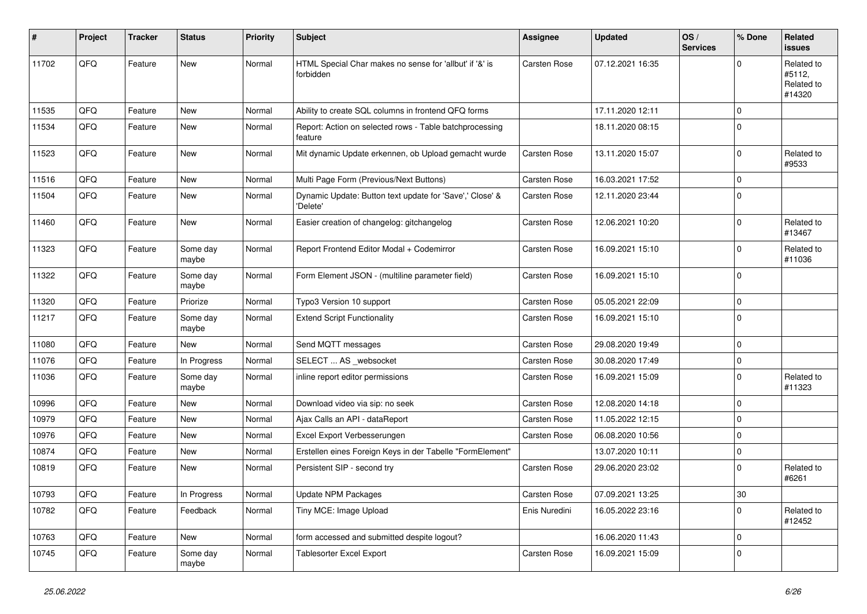| #     | Project | <b>Tracker</b> | <b>Status</b>     | <b>Priority</b> | <b>Subject</b>                                                       | <b>Assignee</b> | <b>Updated</b>   | OS/<br><b>Services</b> | % Done      | Related<br><b>issues</b>                     |
|-------|---------|----------------|-------------------|-----------------|----------------------------------------------------------------------|-----------------|------------------|------------------------|-------------|----------------------------------------------|
| 11702 | QFQ     | Feature        | New               | Normal          | HTML Special Char makes no sense for 'allbut' if '&' is<br>forbidden | Carsten Rose    | 07.12.2021 16:35 |                        | $\Omega$    | Related to<br>#5112,<br>Related to<br>#14320 |
| 11535 | QFQ     | Feature        | <b>New</b>        | Normal          | Ability to create SQL columns in frontend QFQ forms                  |                 | 17.11.2020 12:11 |                        | $\mathbf 0$ |                                              |
| 11534 | QFQ     | Feature        | <b>New</b>        | Normal          | Report: Action on selected rows - Table batchprocessing<br>feature   |                 | 18.11.2020 08:15 |                        | $\mathbf 0$ |                                              |
| 11523 | QFQ     | Feature        | New               | Normal          | Mit dynamic Update erkennen, ob Upload gemacht wurde                 | Carsten Rose    | 13.11.2020 15:07 |                        | $\mathbf 0$ | Related to<br>#9533                          |
| 11516 | QFQ     | Feature        | New               | Normal          | Multi Page Form (Previous/Next Buttons)                              | Carsten Rose    | 16.03.2021 17:52 |                        | $\Omega$    |                                              |
| 11504 | QFQ     | Feature        | New               | Normal          | Dynamic Update: Button text update for 'Save',' Close' &<br>'Delete' | Carsten Rose    | 12.11.2020 23:44 |                        | $\Omega$    |                                              |
| 11460 | QFQ     | Feature        | <b>New</b>        | Normal          | Easier creation of changelog: gitchangelog                           | Carsten Rose    | 12.06.2021 10:20 |                        | $\Omega$    | Related to<br>#13467                         |
| 11323 | QFQ     | Feature        | Some day<br>maybe | Normal          | Report Frontend Editor Modal + Codemirror                            | Carsten Rose    | 16.09.2021 15:10 |                        | $\mathbf 0$ | Related to<br>#11036                         |
| 11322 | QFQ     | Feature        | Some day<br>maybe | Normal          | Form Element JSON - (multiline parameter field)                      | Carsten Rose    | 16.09.2021 15:10 |                        | $\Omega$    |                                              |
| 11320 | QFQ     | Feature        | Priorize          | Normal          | Typo3 Version 10 support                                             | Carsten Rose    | 05.05.2021 22:09 |                        | $\Omega$    |                                              |
| 11217 | QFQ     | Feature        | Some day<br>maybe | Normal          | <b>Extend Script Functionality</b>                                   | Carsten Rose    | 16.09.2021 15:10 |                        | $\Omega$    |                                              |
| 11080 | QFQ     | Feature        | New               | Normal          | Send MQTT messages                                                   | Carsten Rose    | 29.08.2020 19:49 |                        | $\mathbf 0$ |                                              |
| 11076 | QFQ     | Feature        | In Progress       | Normal          | SELECT  AS websocket                                                 | Carsten Rose    | 30.08.2020 17:49 |                        | $\mathbf 0$ |                                              |
| 11036 | QFQ     | Feature        | Some dav<br>maybe | Normal          | inline report editor permissions                                     | Carsten Rose    | 16.09.2021 15:09 |                        | $\mathbf 0$ | Related to<br>#11323                         |
| 10996 | QFQ     | Feature        | New               | Normal          | Download video via sip: no seek                                      | Carsten Rose    | 12.08.2020 14:18 |                        | $\mathbf 0$ |                                              |
| 10979 | QFQ     | Feature        | New               | Normal          | Ajax Calls an API - dataReport                                       | Carsten Rose    | 11.05.2022 12:15 |                        | $\mathbf 0$ |                                              |
| 10976 | QFQ     | Feature        | New               | Normal          | Excel Export Verbesserungen                                          | Carsten Rose    | 06.08.2020 10:56 |                        | $\mathbf 0$ |                                              |
| 10874 | QFQ     | Feature        | New               | Normal          | Erstellen eines Foreign Keys in der Tabelle "FormElement"            |                 | 13.07.2020 10:11 |                        | $\mathbf 0$ |                                              |
| 10819 | QFQ     | Feature        | <b>New</b>        | Normal          | Persistent SIP - second try                                          | Carsten Rose    | 29.06.2020 23:02 |                        | $\Omega$    | Related to<br>#6261                          |
| 10793 | QFQ     | Feature        | In Progress       | Normal          | <b>Update NPM Packages</b>                                           | Carsten Rose    | 07.09.2021 13:25 |                        | 30          |                                              |
| 10782 | QFQ     | Feature        | Feedback          | Normal          | Tiny MCE: Image Upload                                               | Enis Nuredini   | 16.05.2022 23:16 |                        | $\mathbf 0$ | Related to<br>#12452                         |
| 10763 | QFQ     | Feature        | New               | Normal          | form accessed and submitted despite logout?                          |                 | 16.06.2020 11:43 |                        | $\mathbf 0$ |                                              |
| 10745 | QFQ     | Feature        | Some day<br>maybe | Normal          | <b>Tablesorter Excel Export</b>                                      | Carsten Rose    | 16.09.2021 15:09 |                        | $\Omega$    |                                              |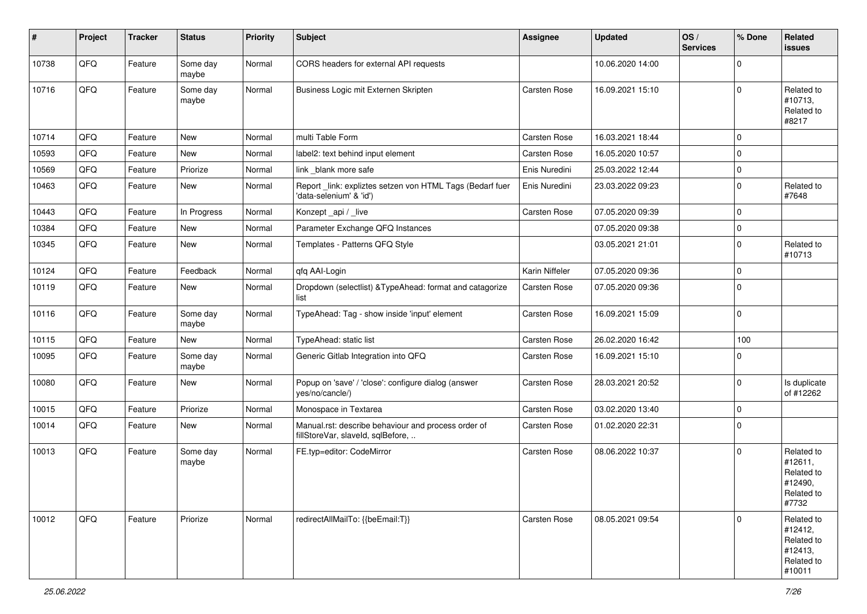| $\vert$ # | Project | <b>Tracker</b> | <b>Status</b>     | <b>Priority</b> | Subject                                                                                  | <b>Assignee</b> | <b>Updated</b>   | OS/<br><b>Services</b> | % Done      | Related<br><b>issues</b>                                               |
|-----------|---------|----------------|-------------------|-----------------|------------------------------------------------------------------------------------------|-----------------|------------------|------------------------|-------------|------------------------------------------------------------------------|
| 10738     | QFQ     | Feature        | Some day<br>maybe | Normal          | CORS headers for external API requests                                                   |                 | 10.06.2020 14:00 |                        | $\Omega$    |                                                                        |
| 10716     | QFQ     | Feature        | Some day<br>maybe | Normal          | Business Logic mit Externen Skripten                                                     | Carsten Rose    | 16.09.2021 15:10 |                        | $\Omega$    | Related to<br>#10713,<br>Related to<br>#8217                           |
| 10714     | QFQ     | Feature        | <b>New</b>        | Normal          | multi Table Form                                                                         | Carsten Rose    | 16.03.2021 18:44 |                        | $\mathbf 0$ |                                                                        |
| 10593     | QFQ     | Feature        | New               | Normal          | label2: text behind input element                                                        | Carsten Rose    | 16.05.2020 10:57 |                        | $\mathbf 0$ |                                                                        |
| 10569     | QFQ     | Feature        | Priorize          | Normal          | link _blank more safe                                                                    | Enis Nuredini   | 25.03.2022 12:44 |                        | $\mathbf 0$ |                                                                        |
| 10463     | QFQ     | Feature        | New               | Normal          | Report_link: expliztes setzen von HTML Tags (Bedarf fuer<br>'data-selenium' & 'id')      | Enis Nuredini   | 23.03.2022 09:23 |                        | $\mathbf 0$ | Related to<br>#7648                                                    |
| 10443     | QFQ     | Feature        | In Progress       | Normal          | Konzept_api / _live                                                                      | Carsten Rose    | 07.05.2020 09:39 |                        | $\mathbf 0$ |                                                                        |
| 10384     | QFQ     | Feature        | New               | Normal          | Parameter Exchange QFQ Instances                                                         |                 | 07.05.2020 09:38 |                        | $\pmb{0}$   |                                                                        |
| 10345     | QFQ     | Feature        | New               | Normal          | Templates - Patterns QFQ Style                                                           |                 | 03.05.2021 21:01 |                        | $\mathbf 0$ | Related to<br>#10713                                                   |
| 10124     | QFQ     | Feature        | Feedback          | Normal          | qfq AAI-Login                                                                            | Karin Niffeler  | 07.05.2020 09:36 |                        | $\mathbf 0$ |                                                                        |
| 10119     | QFQ     | Feature        | New               | Normal          | Dropdown (selectlist) & TypeAhead: format and catagorize<br>list                         | Carsten Rose    | 07.05.2020 09:36 |                        | $\mathbf 0$ |                                                                        |
| 10116     | QFQ     | Feature        | Some day<br>maybe | Normal          | TypeAhead: Tag - show inside 'input' element                                             | Carsten Rose    | 16.09.2021 15:09 |                        | $\mathbf 0$ |                                                                        |
| 10115     | QFQ     | Feature        | New               | Normal          | TypeAhead: static list                                                                   | Carsten Rose    | 26.02.2020 16:42 |                        | 100         |                                                                        |
| 10095     | QFQ     | Feature        | Some day<br>maybe | Normal          | Generic Gitlab Integration into QFQ                                                      | Carsten Rose    | 16.09.2021 15:10 |                        | $\Omega$    |                                                                        |
| 10080     | QFQ     | Feature        | New               | Normal          | Popup on 'save' / 'close': configure dialog (answer<br>yes/no/cancle/)                   | Carsten Rose    | 28.03.2021 20:52 |                        | $\mathbf 0$ | Is duplicate<br>of #12262                                              |
| 10015     | QFQ     | Feature        | Priorize          | Normal          | Monospace in Textarea                                                                    | Carsten Rose    | 03.02.2020 13:40 |                        | $\mathbf 0$ |                                                                        |
| 10014     | QFQ     | Feature        | New               | Normal          | Manual.rst: describe behaviour and process order of<br>fillStoreVar, slaveId, sqlBefore, | Carsten Rose    | 01.02.2020 22:31 |                        | $\Omega$    |                                                                        |
| 10013     | QFQ     | Feature        | Some day<br>maybe | Normal          | FE.typ=editor: CodeMirror                                                                | Carsten Rose    | 08.06.2022 10:37 |                        | $\mathbf 0$ | Related to<br>#12611,<br>Related to<br>#12490,<br>Related to<br>#7732  |
| 10012     | QFQ     | Feature        | Priorize          | Normal          | redirectAllMailTo: {{beEmail:T}}                                                         | Carsten Rose    | 08.05.2021 09:54 |                        | $\mathbf 0$ | Related to<br>#12412,<br>Related to<br>#12413,<br>Related to<br>#10011 |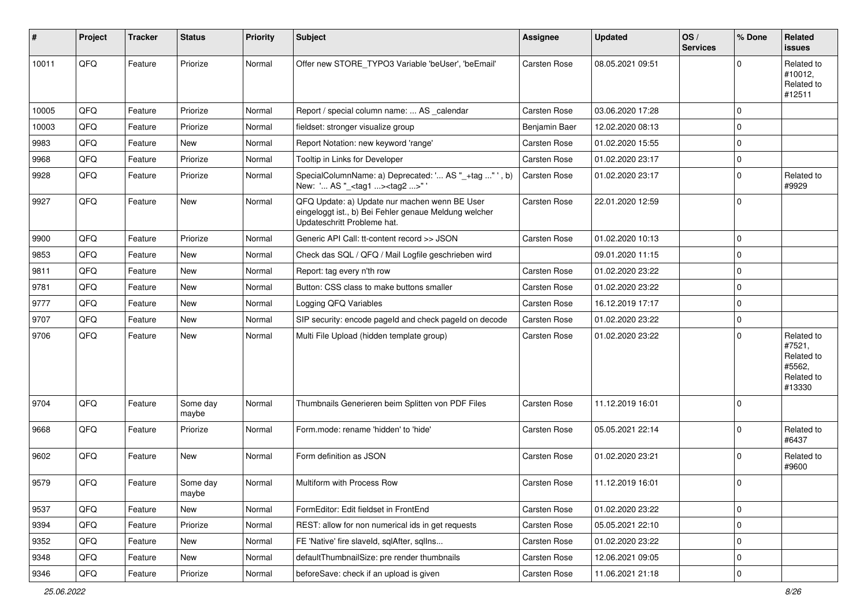| #     | Project | <b>Tracker</b> | <b>Status</b>     | <b>Priority</b> | <b>Subject</b>                                                                                                                        | Assignee      | <b>Updated</b>   | OS/<br><b>Services</b> | % Done      | Related<br>issues                                                    |
|-------|---------|----------------|-------------------|-----------------|---------------------------------------------------------------------------------------------------------------------------------------|---------------|------------------|------------------------|-------------|----------------------------------------------------------------------|
| 10011 | QFQ     | Feature        | Priorize          | Normal          | Offer new STORE_TYPO3 Variable 'beUser', 'beEmail'                                                                                    | Carsten Rose  | 08.05.2021 09:51 |                        | $\Omega$    | Related to<br>#10012,<br>Related to<br>#12511                        |
| 10005 | QFQ     | Feature        | Priorize          | Normal          | Report / special column name:  AS _calendar                                                                                           | Carsten Rose  | 03.06.2020 17:28 |                        | 0           |                                                                      |
| 10003 | QFQ     | Feature        | Priorize          | Normal          | fieldset: stronger visualize group                                                                                                    | Benjamin Baer | 12.02.2020 08:13 |                        | $\mathbf 0$ |                                                                      |
| 9983  | QFQ     | Feature        | New               | Normal          | Report Notation: new keyword 'range'                                                                                                  | Carsten Rose  | 01.02.2020 15:55 |                        | 0           |                                                                      |
| 9968  | QFQ     | Feature        | Priorize          | Normal          | Tooltip in Links for Developer                                                                                                        | Carsten Rose  | 01.02.2020 23:17 |                        | $\mathbf 0$ |                                                                      |
| 9928  | QFQ     | Feature        | Priorize          | Normal          | SpecialColumnName: a) Deprecated: ' AS "_+tag " ', b)<br>New: ' AS "_ <tag1><tag2>"'</tag2></tag1>                                    | Carsten Rose  | 01.02.2020 23:17 |                        | $\Omega$    | Related to<br>#9929                                                  |
| 9927  | QFQ     | Feature        | New               | Normal          | QFQ Update: a) Update nur machen wenn BE User<br>eingeloggt ist., b) Bei Fehler genaue Meldung welcher<br>Updateschritt Probleme hat. | Carsten Rose  | 22.01.2020 12:59 |                        | 0           |                                                                      |
| 9900  | QFQ     | Feature        | Priorize          | Normal          | Generic API Call: tt-content record >> JSON                                                                                           | Carsten Rose  | 01.02.2020 10:13 |                        | $\mathbf 0$ |                                                                      |
| 9853  | QFQ     | Feature        | <b>New</b>        | Normal          | Check das SQL / QFQ / Mail Logfile geschrieben wird                                                                                   |               | 09.01.2020 11:15 |                        | 0           |                                                                      |
| 9811  | QFQ     | Feature        | New               | Normal          | Report: tag every n'th row                                                                                                            | Carsten Rose  | 01.02.2020 23:22 |                        | $\mathbf 0$ |                                                                      |
| 9781  | QFQ     | Feature        | New               | Normal          | Button: CSS class to make buttons smaller                                                                                             | Carsten Rose  | 01.02.2020 23:22 |                        | $\mathbf 0$ |                                                                      |
| 9777  | QFQ     | Feature        | New               | Normal          | Logging QFQ Variables                                                                                                                 | Carsten Rose  | 16.12.2019 17:17 |                        | 0           |                                                                      |
| 9707  | QFQ     | Feature        | New               | Normal          | SIP security: encode pageld and check pageld on decode                                                                                | Carsten Rose  | 01.02.2020 23:22 |                        | $\mathbf 0$ |                                                                      |
| 9706  | QFQ     | Feature        | New               | Normal          | Multi File Upload (hidden template group)                                                                                             | Carsten Rose  | 01.02.2020 23:22 |                        | $\Omega$    | Related to<br>#7521,<br>Related to<br>#5562,<br>Related to<br>#13330 |
| 9704  | QFQ     | Feature        | Some day<br>maybe | Normal          | Thumbnails Generieren beim Splitten von PDF Files                                                                                     | Carsten Rose  | 11.12.2019 16:01 |                        | $\Omega$    |                                                                      |
| 9668  | QFQ     | Feature        | Priorize          | Normal          | Form.mode: rename 'hidden' to 'hide'                                                                                                  | Carsten Rose  | 05.05.2021 22:14 |                        | $\mathbf 0$ | Related to<br>#6437                                                  |
| 9602  | QFQ     | Feature        | New               | Normal          | Form definition as JSON                                                                                                               | Carsten Rose  | 01.02.2020 23:21 |                        | $\Omega$    | Related to<br>#9600                                                  |
| 9579  | QFQ     | Feature        | Some day<br>maybe | Normal          | Multiform with Process Row                                                                                                            | Carsten Rose  | 11.12.2019 16:01 |                        | $\mathbf 0$ |                                                                      |
| 9537  | QFQ     | Feature        | New               | Normal          | FormEditor: Edit fieldset in FrontEnd                                                                                                 | Carsten Rose  | 01.02.2020 23:22 |                        | $\pmb{0}$   |                                                                      |
| 9394  | QFQ     | Feature        | Priorize          | Normal          | REST: allow for non numerical ids in get requests                                                                                     | Carsten Rose  | 05.05.2021 22:10 |                        | $\pmb{0}$   |                                                                      |
| 9352  | QFQ     | Feature        | New               | Normal          | FE 'Native' fire slaveld, sqlAfter, sqlIns                                                                                            | Carsten Rose  | 01.02.2020 23:22 |                        | $\pmb{0}$   |                                                                      |
| 9348  | QFQ     | Feature        | New               | Normal          | defaultThumbnailSize: pre render thumbnails                                                                                           | Carsten Rose  | 12.06.2021 09:05 |                        | $\pmb{0}$   |                                                                      |
| 9346  | QFG     | Feature        | Priorize          | Normal          | beforeSave: check if an upload is given                                                                                               | Carsten Rose  | 11.06.2021 21:18 |                        | $\pmb{0}$   |                                                                      |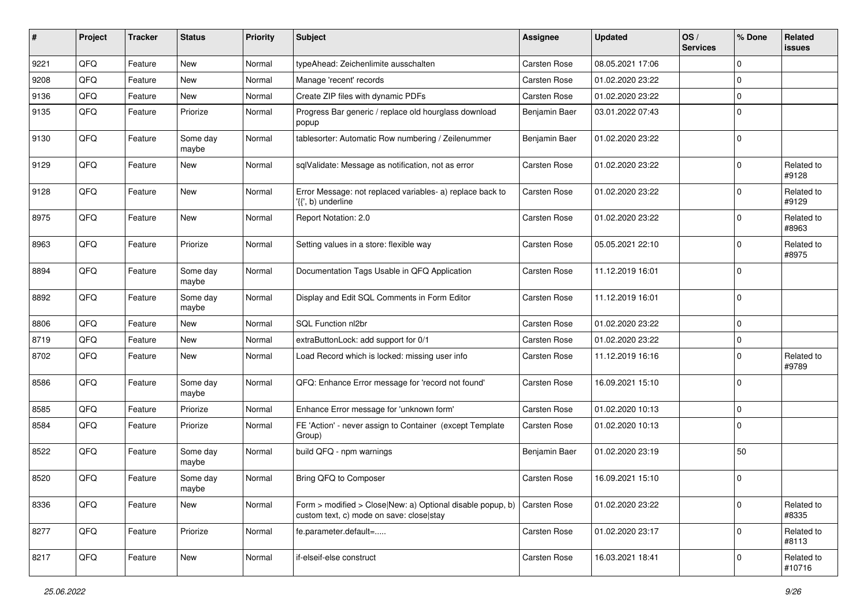| #    | Project | <b>Tracker</b> | <b>Status</b>     | <b>Priority</b> | <b>Subject</b>                                                                                         | <b>Assignee</b> | <b>Updated</b>   | OS/<br><b>Services</b> | % Done      | Related<br><b>issues</b> |
|------|---------|----------------|-------------------|-----------------|--------------------------------------------------------------------------------------------------------|-----------------|------------------|------------------------|-------------|--------------------------|
| 9221 | QFQ     | Feature        | New               | Normal          | typeAhead: Zeichenlimite ausschalten                                                                   | Carsten Rose    | 08.05.2021 17:06 |                        | $\mathbf 0$ |                          |
| 9208 | QFQ     | Feature        | <b>New</b>        | Normal          | Manage 'recent' records                                                                                | Carsten Rose    | 01.02.2020 23:22 |                        | $\mathbf 0$ |                          |
| 9136 | QFQ     | Feature        | New               | Normal          | Create ZIP files with dynamic PDFs                                                                     | Carsten Rose    | 01.02.2020 23:22 |                        | $\mathbf 0$ |                          |
| 9135 | QFQ     | Feature        | Priorize          | Normal          | Progress Bar generic / replace old hourglass download<br>popup                                         | Benjamin Baer   | 03.01.2022 07:43 |                        | $\mathbf 0$ |                          |
| 9130 | QFQ     | Feature        | Some day<br>maybe | Normal          | tablesorter: Automatic Row numbering / Zeilenummer                                                     | Benjamin Baer   | 01.02.2020 23:22 |                        | $\mathbf 0$ |                          |
| 9129 | QFQ     | Feature        | New               | Normal          | sqlValidate: Message as notification, not as error                                                     | Carsten Rose    | 01.02.2020 23:22 |                        | $\mathbf 0$ | Related to<br>#9128      |
| 9128 | QFQ     | Feature        | New               | Normal          | Error Message: not replaced variables- a) replace back to<br>'{{', b) underline                        | Carsten Rose    | 01.02.2020 23:22 |                        | $\mathbf 0$ | Related to<br>#9129      |
| 8975 | QFQ     | Feature        | New               | Normal          | Report Notation: 2.0                                                                                   | Carsten Rose    | 01.02.2020 23:22 |                        | $\mathbf 0$ | Related to<br>#8963      |
| 8963 | QFQ     | Feature        | Priorize          | Normal          | Setting values in a store: flexible way                                                                | Carsten Rose    | 05.05.2021 22:10 |                        | $\mathbf 0$ | Related to<br>#8975      |
| 8894 | QFQ     | Feature        | Some day<br>maybe | Normal          | Documentation Tags Usable in QFQ Application                                                           | Carsten Rose    | 11.12.2019 16:01 |                        | $\mathbf 0$ |                          |
| 8892 | QFQ     | Feature        | Some day<br>maybe | Normal          | Display and Edit SQL Comments in Form Editor                                                           | Carsten Rose    | 11.12.2019 16:01 |                        | $\mathbf 0$ |                          |
| 8806 | QFQ     | Feature        | <b>New</b>        | Normal          | SQL Function nl2br                                                                                     | Carsten Rose    | 01.02.2020 23:22 |                        | $\mathbf 0$ |                          |
| 8719 | QFQ     | Feature        | New               | Normal          | extraButtonLock: add support for 0/1                                                                   | Carsten Rose    | 01.02.2020 23:22 |                        | $\mathbf 0$ |                          |
| 8702 | QFQ     | Feature        | New               | Normal          | Load Record which is locked: missing user info                                                         | Carsten Rose    | 11.12.2019 16:16 |                        | $\mathbf 0$ | Related to<br>#9789      |
| 8586 | QFQ     | Feature        | Some day<br>maybe | Normal          | QFQ: Enhance Error message for 'record not found'                                                      | Carsten Rose    | 16.09.2021 15:10 |                        | $\mathbf 0$ |                          |
| 8585 | QFQ     | Feature        | Priorize          | Normal          | Enhance Error message for 'unknown form'                                                               | Carsten Rose    | 01.02.2020 10:13 |                        | $\mathbf 0$ |                          |
| 8584 | QFQ     | Feature        | Priorize          | Normal          | FE 'Action' - never assign to Container (except Template<br>Group)                                     | Carsten Rose    | 01.02.2020 10:13 |                        | $\mathbf 0$ |                          |
| 8522 | QFQ     | Feature        | Some day<br>maybe | Normal          | build QFQ - npm warnings                                                                               | Benjamin Baer   | 01.02.2020 23:19 |                        | 50          |                          |
| 8520 | QFQ     | Feature        | Some day<br>maybe | Normal          | Bring QFQ to Composer                                                                                  | Carsten Rose    | 16.09.2021 15:10 |                        | 0           |                          |
| 8336 | QFQ     | Feature        | New               | Normal          | Form > modified > Close New: a) Optional disable popup, b)<br>custom text, c) mode on save: close stay | Carsten Rose    | 01.02.2020 23:22 |                        | $\mathbf 0$ | Related to<br>#8335      |
| 8277 | QFQ     | Feature        | Priorize          | Normal          | fe.parameter.default=                                                                                  | Carsten Rose    | 01.02.2020 23:17 |                        | $\mathbf 0$ | Related to<br>#8113      |
| 8217 | QFQ     | Feature        | New               | Normal          | if-elseif-else construct                                                                               | Carsten Rose    | 16.03.2021 18:41 |                        | $\mathbf 0$ | Related to<br>#10716     |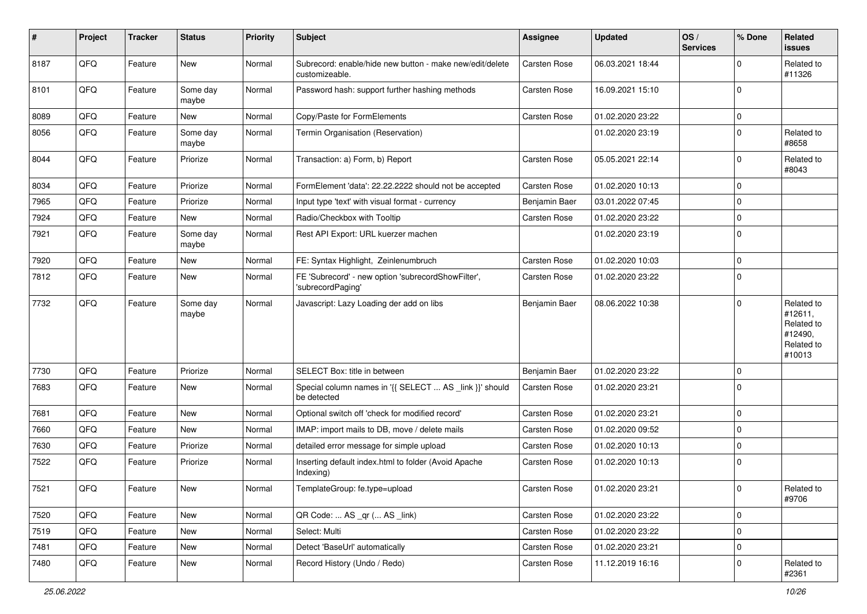| #    | Project | <b>Tracker</b> | <b>Status</b>     | <b>Priority</b> | <b>Subject</b>                                                             | Assignee      | <b>Updated</b>   | OS/<br><b>Services</b> | % Done      | Related<br>issues                                                      |
|------|---------|----------------|-------------------|-----------------|----------------------------------------------------------------------------|---------------|------------------|------------------------|-------------|------------------------------------------------------------------------|
| 8187 | QFQ     | Feature        | <b>New</b>        | Normal          | Subrecord: enable/hide new button - make new/edit/delete<br>customizeable. | Carsten Rose  | 06.03.2021 18:44 |                        | $\mathbf 0$ | Related to<br>#11326                                                   |
| 8101 | QFQ     | Feature        | Some day<br>maybe | Normal          | Password hash: support further hashing methods                             | Carsten Rose  | 16.09.2021 15:10 |                        | $\mathbf 0$ |                                                                        |
| 8089 | QFQ     | Feature        | New               | Normal          | Copy/Paste for FormElements                                                | Carsten Rose  | 01.02.2020 23:22 |                        | 0           |                                                                        |
| 8056 | QFQ     | Feature        | Some day<br>maybe | Normal          | Termin Organisation (Reservation)                                          |               | 01.02.2020 23:19 |                        | $\mathbf 0$ | Related to<br>#8658                                                    |
| 8044 | QFQ     | Feature        | Priorize          | Normal          | Transaction: a) Form, b) Report                                            | Carsten Rose  | 05.05.2021 22:14 |                        | $\mathbf 0$ | Related to<br>#8043                                                    |
| 8034 | QFQ     | Feature        | Priorize          | Normal          | FormElement 'data': 22.22.2222 should not be accepted                      | Carsten Rose  | 01.02.2020 10:13 |                        | 0           |                                                                        |
| 7965 | QFQ     | Feature        | Priorize          | Normal          | Input type 'text' with visual format - currency                            | Benjamin Baer | 03.01.2022 07:45 |                        | $\mathbf 0$ |                                                                        |
| 7924 | QFQ     | Feature        | New               | Normal          | Radio/Checkbox with Tooltip                                                | Carsten Rose  | 01.02.2020 23:22 |                        | 0           |                                                                        |
| 7921 | QFQ     | Feature        | Some day<br>maybe | Normal          | Rest API Export: URL kuerzer machen                                        |               | 01.02.2020 23:19 |                        | $\mathbf 0$ |                                                                        |
| 7920 | QFQ     | Feature        | New               | Normal          | FE: Syntax Highlight, Zeinlenumbruch                                       | Carsten Rose  | 01.02.2020 10:03 |                        | 0           |                                                                        |
| 7812 | QFQ     | Feature        | New               | Normal          | FE 'Subrecord' - new option 'subrecordShowFilter',<br>'subrecordPaging'    | Carsten Rose  | 01.02.2020 23:22 |                        | $\Omega$    |                                                                        |
| 7732 | QFQ     | Feature        | Some day<br>maybe | Normal          | Javascript: Lazy Loading der add on libs                                   | Benjamin Baer | 08.06.2022 10:38 |                        | $\mathbf 0$ | Related to<br>#12611,<br>Related to<br>#12490,<br>Related to<br>#10013 |
| 7730 | QFQ     | Feature        | Priorize          | Normal          | SELECT Box: title in between                                               | Benjamin Baer | 01.02.2020 23:22 |                        | $\Omega$    |                                                                        |
| 7683 | QFQ     | Feature        | New               | Normal          | Special column names in '{{ SELECT  AS _link }}' should<br>be detected     | Carsten Rose  | 01.02.2020 23:21 |                        | $\mathbf 0$ |                                                                        |
| 7681 | QFQ     | Feature        | New               | Normal          | Optional switch off 'check for modified record'                            | Carsten Rose  | 01.02.2020 23:21 |                        | $\mathbf 0$ |                                                                        |
| 7660 | QFQ     | Feature        | New               | Normal          | IMAP: import mails to DB, move / delete mails                              | Carsten Rose  | 01.02.2020 09:52 |                        | $\mathbf 0$ |                                                                        |
| 7630 | QFQ     | Feature        | Priorize          | Normal          | detailed error message for simple upload                                   | Carsten Rose  | 01.02.2020 10:13 |                        | 0           |                                                                        |
| 7522 | QFQ     | Feature        | Priorize          | Normal          | Inserting default index.html to folder (Avoid Apache<br>Indexing)          | Carsten Rose  | 01.02.2020 10:13 |                        | $\mathbf 0$ |                                                                        |
| 7521 | QFQ     | Feature        | New               | Normal          | TemplateGroup: fe.type=upload                                              | Carsten Rose  | 01.02.2020 23:21 |                        | $\pmb{0}$   | Related to<br>#9706                                                    |
| 7520 | QFQ     | Feature        | New               | Normal          | QR Code:  AS _qr ( AS _link)                                               | Carsten Rose  | 01.02.2020 23:22 |                        | $\pmb{0}$   |                                                                        |
| 7519 | QFQ     | Feature        | New               | Normal          | Select: Multi                                                              | Carsten Rose  | 01.02.2020 23:22 |                        | 0           |                                                                        |
| 7481 | QFQ     | Feature        | New               | Normal          | Detect 'BaseUrl' automatically                                             | Carsten Rose  | 01.02.2020 23:21 |                        | $\pmb{0}$   |                                                                        |
| 7480 | QFQ     | Feature        | New               | Normal          | Record History (Undo / Redo)                                               | Carsten Rose  | 11.12.2019 16:16 |                        | 0           | Related to<br>#2361                                                    |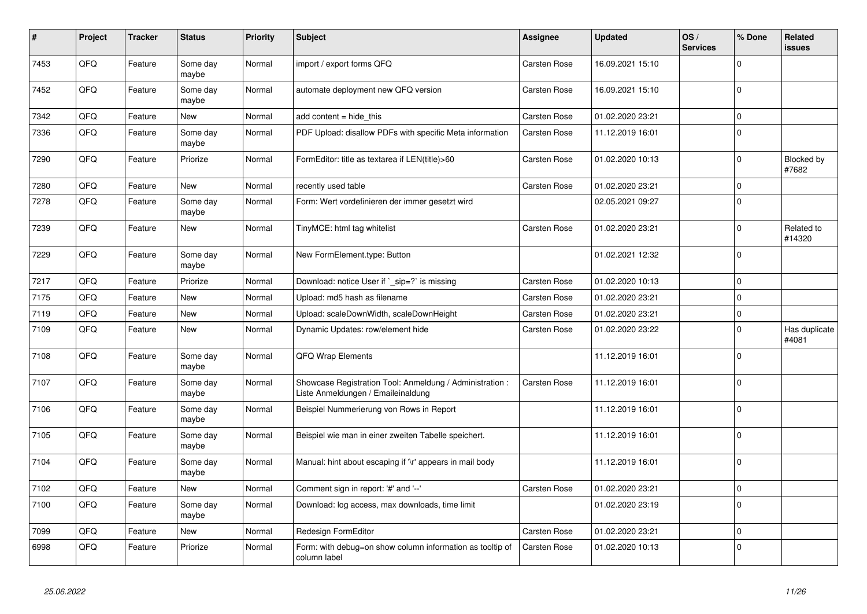| $\pmb{\#}$ | Project | <b>Tracker</b> | <b>Status</b>     | <b>Priority</b> | <b>Subject</b>                                                                                 | Assignee     | <b>Updated</b>   | OS/<br><b>Services</b> | % Done   | Related<br><b>issues</b> |
|------------|---------|----------------|-------------------|-----------------|------------------------------------------------------------------------------------------------|--------------|------------------|------------------------|----------|--------------------------|
| 7453       | QFQ     | Feature        | Some day<br>maybe | Normal          | import / export forms QFQ                                                                      | Carsten Rose | 16.09.2021 15:10 |                        | $\Omega$ |                          |
| 7452       | QFQ     | Feature        | Some day<br>maybe | Normal          | automate deployment new QFQ version                                                            | Carsten Rose | 16.09.2021 15:10 |                        | $\Omega$ |                          |
| 7342       | QFQ     | Feature        | New               | Normal          | add content $=$ hide this                                                                      | Carsten Rose | 01.02.2020 23:21 |                        | $\Omega$ |                          |
| 7336       | QFQ     | Feature        | Some day<br>maybe | Normal          | PDF Upload: disallow PDFs with specific Meta information                                       | Carsten Rose | 11.12.2019 16:01 |                        | $\Omega$ |                          |
| 7290       | QFQ     | Feature        | Priorize          | Normal          | FormEditor: title as textarea if LEN(title)>60                                                 | Carsten Rose | 01.02.2020 10:13 |                        | $\Omega$ | Blocked by<br>#7682      |
| 7280       | QFQ     | Feature        | <b>New</b>        | Normal          | recently used table                                                                            | Carsten Rose | 01.02.2020 23:21 |                        | $\Omega$ |                          |
| 7278       | QFQ     | Feature        | Some day<br>maybe | Normal          | Form: Wert vordefinieren der immer gesetzt wird                                                |              | 02.05.2021 09:27 |                        | $\Omega$ |                          |
| 7239       | QFQ     | Feature        | New               | Normal          | TinyMCE: html tag whitelist                                                                    | Carsten Rose | 01.02.2020 23:21 |                        | $\Omega$ | Related to<br>#14320     |
| 7229       | QFQ     | Feature        | Some day<br>maybe | Normal          | New FormElement.type: Button                                                                   |              | 01.02.2021 12:32 |                        | $\Omega$ |                          |
| 7217       | QFQ     | Feature        | Priorize          | Normal          | Download: notice User if ` sip=?` is missing                                                   | Carsten Rose | 01.02.2020 10:13 |                        | $\Omega$ |                          |
| 7175       | QFQ     | Feature        | <b>New</b>        | Normal          | Upload: md5 hash as filename                                                                   | Carsten Rose | 01.02.2020 23:21 |                        | $\Omega$ |                          |
| 7119       | QFQ     | Feature        | <b>New</b>        | Normal          | Upload: scaleDownWidth, scaleDownHeight                                                        | Carsten Rose | 01.02.2020 23:21 |                        | $\Omega$ |                          |
| 7109       | QFQ     | Feature        | New               | Normal          | Dynamic Updates: row/element hide                                                              | Carsten Rose | 01.02.2020 23:22 |                        | $\Omega$ | Has duplicate<br>#4081   |
| 7108       | QFQ     | Feature        | Some day<br>maybe | Normal          | QFQ Wrap Elements                                                                              |              | 11.12.2019 16:01 |                        | $\Omega$ |                          |
| 7107       | QFQ     | Feature        | Some dav<br>maybe | Normal          | Showcase Registration Tool: Anmeldung / Administration :<br>Liste Anmeldungen / Emaileinaldung | Carsten Rose | 11.12.2019 16:01 |                        | $\Omega$ |                          |
| 7106       | QFQ     | Feature        | Some day<br>maybe | Normal          | Beispiel Nummerierung von Rows in Report                                                       |              | 11.12.2019 16:01 |                        | $\Omega$ |                          |
| 7105       | QFQ     | Feature        | Some day<br>maybe | Normal          | Beispiel wie man in einer zweiten Tabelle speichert.                                           |              | 11.12.2019 16:01 |                        | $\Omega$ |                          |
| 7104       | QFQ     | Feature        | Some day<br>maybe | Normal          | Manual: hint about escaping if '\r' appears in mail body                                       |              | 11.12.2019 16:01 |                        | $\Omega$ |                          |
| 7102       | QFQ     | Feature        | New               | Normal          | Comment sign in report: '#' and '--'                                                           | Carsten Rose | 01.02.2020 23:21 |                        | $\Omega$ |                          |
| 7100       | QFQ     | Feature        | Some day<br>maybe | Normal          | Download: log access, max downloads, time limit                                                |              | 01.02.2020 23:19 |                        | $\Omega$ |                          |
| 7099       | QFQ     | Feature        | <b>New</b>        | Normal          | Redesign FormEditor                                                                            | Carsten Rose | 01.02.2020 23:21 |                        | $\Omega$ |                          |
| 6998       | QFQ     | Feature        | Priorize          | Normal          | Form: with debug=on show column information as tooltip of<br>column label                      | Carsten Rose | 01.02.2020 10:13 |                        | $\Omega$ |                          |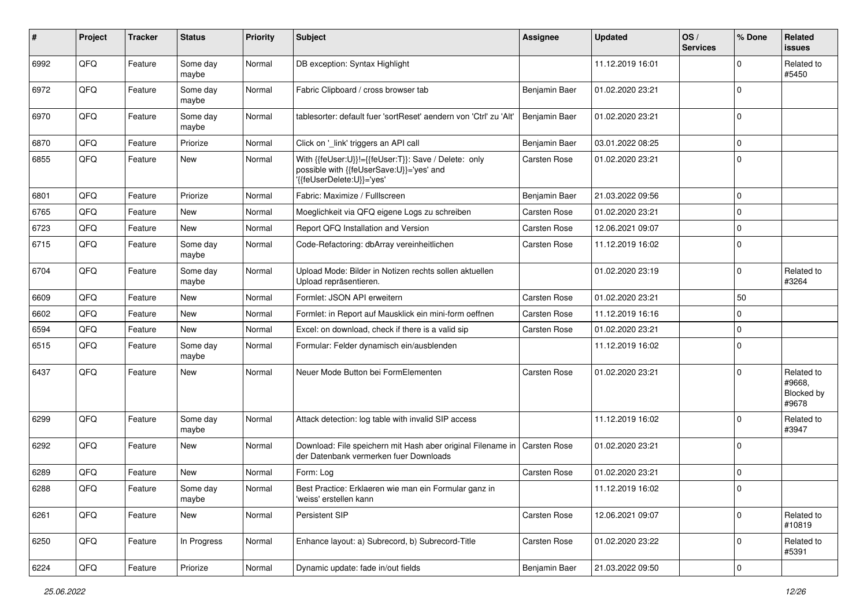| ∦    | Project        | <b>Tracker</b> | <b>Status</b>     | <b>Priority</b> | <b>Subject</b>                                                                                                               | Assignee      | <b>Updated</b>   | OS/<br><b>Services</b> | % Done      | Related<br><b>issues</b>                    |
|------|----------------|----------------|-------------------|-----------------|------------------------------------------------------------------------------------------------------------------------------|---------------|------------------|------------------------|-------------|---------------------------------------------|
| 6992 | QFQ            | Feature        | Some day<br>maybe | Normal          | DB exception: Syntax Highlight                                                                                               |               | 11.12.2019 16:01 |                        | $\Omega$    | Related to<br>#5450                         |
| 6972 | QFQ            | Feature        | Some day<br>maybe | Normal          | Fabric Clipboard / cross browser tab                                                                                         | Benjamin Baer | 01.02.2020 23:21 |                        | $\Omega$    |                                             |
| 6970 | QFQ            | Feature        | Some day<br>maybe | Normal          | tablesorter: default fuer 'sortReset' aendern von 'Ctrl' zu 'Alt'                                                            | Benjamin Baer | 01.02.2020 23:21 |                        | $\Omega$    |                                             |
| 6870 | QFQ            | Feature        | Priorize          | Normal          | Click on '_link' triggers an API call                                                                                        | Benjamin Baer | 03.01.2022 08:25 |                        | 0           |                                             |
| 6855 | QFQ            | Feature        | New               | Normal          | With {{feUser:U}}!={{feUser:T}}: Save / Delete: only<br>possible with {{feUserSave:U}}='yes' and<br>'{feUserDelete:U}}='yes' | Carsten Rose  | 01.02.2020 23:21 |                        | $\Omega$    |                                             |
| 6801 | QFQ            | Feature        | Priorize          | Normal          | Fabric: Maximize / FullIscreen                                                                                               | Benjamin Baer | 21.03.2022 09:56 |                        | $\Omega$    |                                             |
| 6765 | QFQ            | Feature        | <b>New</b>        | Normal          | Moeglichkeit via QFQ eigene Logs zu schreiben                                                                                | Carsten Rose  | 01.02.2020 23:21 |                        | $\Omega$    |                                             |
| 6723 | QFQ            | Feature        | New               | Normal          | Report QFQ Installation and Version                                                                                          | Carsten Rose  | 12.06.2021 09:07 |                        | $\Omega$    |                                             |
| 6715 | QFQ            | Feature        | Some day<br>maybe | Normal          | Code-Refactoring: dbArray vereinheitlichen                                                                                   | Carsten Rose  | 11.12.2019 16:02 |                        | $\Omega$    |                                             |
| 6704 | QFQ            | Feature        | Some day<br>maybe | Normal          | Upload Mode: Bilder in Notizen rechts sollen aktuellen<br>Upload repräsentieren.                                             |               | 01.02.2020 23:19 |                        | $\Omega$    | Related to<br>#3264                         |
| 6609 | QFQ            | Feature        | New               | Normal          | Formlet: JSON API erweitern                                                                                                  | Carsten Rose  | 01.02.2020 23:21 |                        | 50          |                                             |
| 6602 | QFQ            | Feature        | New               | Normal          | Formlet: in Report auf Mausklick ein mini-form oeffnen                                                                       | Carsten Rose  | 11.12.2019 16:16 |                        | $\Omega$    |                                             |
| 6594 | QFQ            | Feature        | <b>New</b>        | Normal          | Excel: on download, check if there is a valid sip                                                                            | Carsten Rose  | 01.02.2020 23:21 |                        | $\Omega$    |                                             |
| 6515 | QFQ            | Feature        | Some day<br>maybe | Normal          | Formular: Felder dynamisch ein/ausblenden                                                                                    |               | 11.12.2019 16:02 |                        | $\Omega$    |                                             |
| 6437 | QFQ            | Feature        | <b>New</b>        | Normal          | Neuer Mode Button bei FormElementen                                                                                          | Carsten Rose  | 01.02.2020 23:21 |                        | $\Omega$    | Related to<br>#9668,<br>Blocked by<br>#9678 |
| 6299 | QFQ            | Feature        | Some day<br>maybe | Normal          | Attack detection: log table with invalid SIP access                                                                          |               | 11.12.2019 16:02 |                        | $\Omega$    | Related to<br>#3947                         |
| 6292 | QFQ            | Feature        | New               | Normal          | Download: File speichern mit Hash aber original Filename in Carsten Rose<br>der Datenbank vermerken fuer Downloads           |               | 01.02.2020 23:21 |                        | $\Omega$    |                                             |
| 6289 | QFQ            | Feature        | <b>New</b>        | Normal          | Form: Log                                                                                                                    | Carsten Rose  | 01.02.2020 23:21 |                        | $\mathbf 0$ |                                             |
| 6288 | QFQ            | Feature        | Some day<br>maybe | Normal          | Best Practice: Erklaeren wie man ein Formular ganz in<br>'weiss' erstellen kann                                              |               | 11.12.2019 16:02 |                        | $\Omega$    |                                             |
| 6261 | QFQ            | Feature        | New               | Normal          | Persistent SIP                                                                                                               | Carsten Rose  | 12.06.2021 09:07 |                        | $\pmb{0}$   | Related to<br>#10819                        |
| 6250 | QFQ            | Feature        | In Progress       | Normal          | Enhance layout: a) Subrecord, b) Subrecord-Title                                                                             | Carsten Rose  | 01.02.2020 23:22 |                        | $\mathbf 0$ | Related to<br>#5391                         |
| 6224 | $\mathsf{QFQ}$ | Feature        | Priorize          | Normal          | Dynamic update: fade in/out fields                                                                                           | Benjamin Baer | 21.03.2022 09:50 |                        | $\pmb{0}$   |                                             |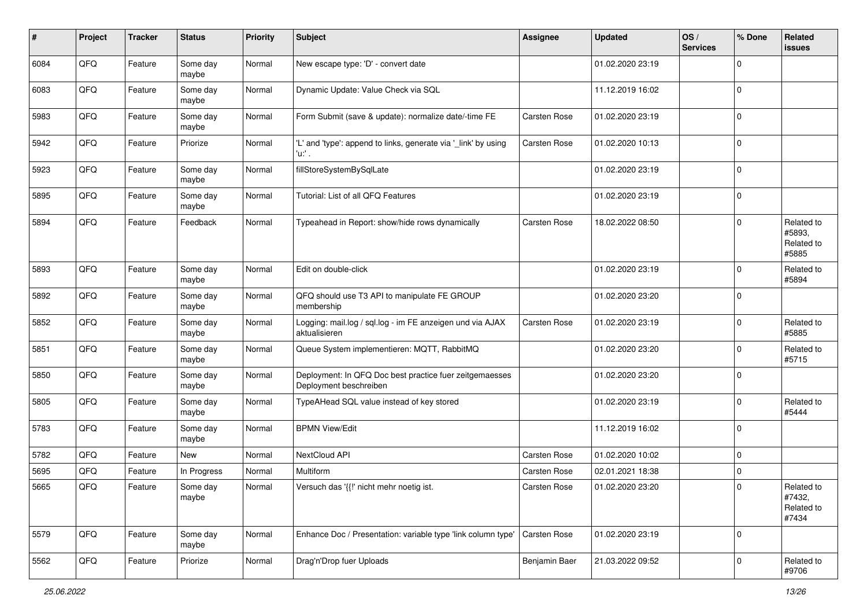| #    | Project | <b>Tracker</b> | <b>Status</b>     | <b>Priority</b> | <b>Subject</b>                                                                    | Assignee      | <b>Updated</b>   | OS/<br><b>Services</b> | % Done      | Related<br><b>issues</b>                    |
|------|---------|----------------|-------------------|-----------------|-----------------------------------------------------------------------------------|---------------|------------------|------------------------|-------------|---------------------------------------------|
| 6084 | QFQ     | Feature        | Some day<br>maybe | Normal          | New escape type: 'D' - convert date                                               |               | 01.02.2020 23:19 |                        | $\Omega$    |                                             |
| 6083 | QFQ     | Feature        | Some day<br>maybe | Normal          | Dynamic Update: Value Check via SQL                                               |               | 11.12.2019 16:02 |                        | $\Omega$    |                                             |
| 5983 | QFQ     | Feature        | Some day<br>maybe | Normal          | Form Submit (save & update): normalize date/-time FE                              | Carsten Rose  | 01.02.2020 23:19 |                        | $\Omega$    |                                             |
| 5942 | QFQ     | Feature        | Priorize          | Normal          | 'L' and 'type': append to links, generate via '_link' by using<br>'u:' .          | Carsten Rose  | 01.02.2020 10:13 |                        | $\Omega$    |                                             |
| 5923 | QFQ     | Feature        | Some day<br>maybe | Normal          | fillStoreSystemBySqlLate                                                          |               | 01.02.2020 23:19 |                        | $\Omega$    |                                             |
| 5895 | QFQ     | Feature        | Some day<br>maybe | Normal          | Tutorial: List of all QFQ Features                                                |               | 01.02.2020 23:19 |                        | $\Omega$    |                                             |
| 5894 | QFQ     | Feature        | Feedback          | Normal          | Typeahead in Report: show/hide rows dynamically                                   | Carsten Rose  | 18.02.2022 08:50 |                        | $\Omega$    | Related to<br>#5893,<br>Related to<br>#5885 |
| 5893 | QFQ     | Feature        | Some day<br>maybe | Normal          | Edit on double-click                                                              |               | 01.02.2020 23:19 |                        | $\Omega$    | Related to<br>#5894                         |
| 5892 | QFQ     | Feature        | Some day<br>maybe | Normal          | QFQ should use T3 API to manipulate FE GROUP<br>membership                        |               | 01.02.2020 23:20 |                        | $\Omega$    |                                             |
| 5852 | QFQ     | Feature        | Some day<br>maybe | Normal          | Logging: mail.log / sql.log - im FE anzeigen und via AJAX<br>aktualisieren        | Carsten Rose  | 01.02.2020 23:19 |                        | $\Omega$    | Related to<br>#5885                         |
| 5851 | QFQ     | Feature        | Some day<br>maybe | Normal          | Queue System implementieren: MQTT, RabbitMQ                                       |               | 01.02.2020 23:20 |                        | $\Omega$    | Related to<br>#5715                         |
| 5850 | QFQ     | Feature        | Some day<br>maybe | Normal          | Deployment: In QFQ Doc best practice fuer zeitgemaesses<br>Deployment beschreiben |               | 01.02.2020 23:20 |                        | $\Omega$    |                                             |
| 5805 | QFQ     | Feature        | Some day<br>maybe | Normal          | TypeAHead SQL value instead of key stored                                         |               | 01.02.2020 23:19 |                        | $\Omega$    | Related to<br>#5444                         |
| 5783 | QFQ     | Feature        | Some day<br>maybe | Normal          | <b>BPMN View/Edit</b>                                                             |               | 11.12.2019 16:02 |                        | $\Omega$    |                                             |
| 5782 | QFQ     | Feature        | New               | Normal          | NextCloud API                                                                     | Carsten Rose  | 01.02.2020 10:02 |                        | $\Omega$    |                                             |
| 5695 | QFQ     | Feature        | In Progress       | Normal          | Multiform                                                                         | Carsten Rose  | 02.01.2021 18:38 |                        | $\Omega$    |                                             |
| 5665 | QFQ     | Feature        | Some day<br>maybe | Normal          | Versuch das '{{!' nicht mehr noetig ist.                                          | Carsten Rose  | 01.02.2020 23:20 |                        | $\mathbf 0$ | Related to<br>#7432,<br>Related to<br>#7434 |
| 5579 | QFQ     | Feature        | Some day<br>maybe | Normal          | Enhance Doc / Presentation: variable type 'link column type'                      | Carsten Rose  | 01.02.2020 23:19 |                        | $\mathbf 0$ |                                             |
| 5562 | QFQ     | Feature        | Priorize          | Normal          | Drag'n'Drop fuer Uploads                                                          | Benjamin Baer | 21.03.2022 09:52 |                        | $\mathbf 0$ | Related to<br>#9706                         |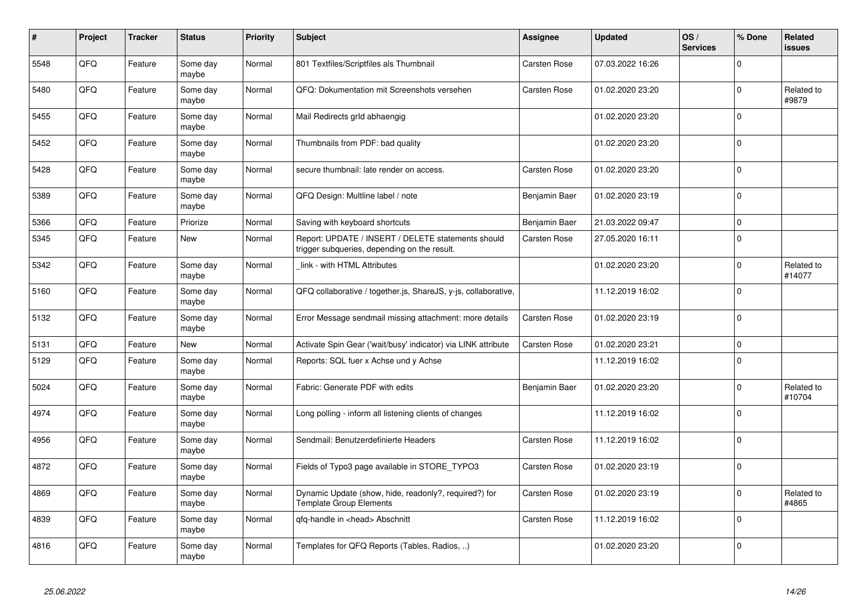| $\pmb{\#}$ | Project | <b>Tracker</b> | <b>Status</b>     | <b>Priority</b> | Subject                                                                                            | Assignee            | <b>Updated</b>   | OS/<br><b>Services</b> | % Done      | <b>Related</b><br><b>issues</b> |
|------------|---------|----------------|-------------------|-----------------|----------------------------------------------------------------------------------------------------|---------------------|------------------|------------------------|-------------|---------------------------------|
| 5548       | QFQ     | Feature        | Some day<br>maybe | Normal          | 801 Textfiles/Scriptfiles als Thumbnail                                                            | Carsten Rose        | 07.03.2022 16:26 |                        | $\mathbf 0$ |                                 |
| 5480       | QFQ     | Feature        | Some day<br>maybe | Normal          | QFQ: Dokumentation mit Screenshots versehen                                                        | Carsten Rose        | 01.02.2020 23:20 |                        | $\mathbf 0$ | Related to<br>#9879             |
| 5455       | QFQ     | Feature        | Some day<br>maybe | Normal          | Mail Redirects grld abhaengig                                                                      |                     | 01.02.2020 23:20 |                        | $\mathbf 0$ |                                 |
| 5452       | QFQ     | Feature        | Some day<br>maybe | Normal          | Thumbnails from PDF: bad quality                                                                   |                     | 01.02.2020 23:20 |                        | $\mathbf 0$ |                                 |
| 5428       | QFQ     | Feature        | Some day<br>maybe | Normal          | secure thumbnail: late render on access.                                                           | <b>Carsten Rose</b> | 01.02.2020 23:20 |                        | $\Omega$    |                                 |
| 5389       | QFQ     | Feature        | Some day<br>maybe | Normal          | QFQ Design: Multline label / note                                                                  | Benjamin Baer       | 01.02.2020 23:19 |                        | $\mathbf 0$ |                                 |
| 5366       | QFQ     | Feature        | Priorize          | Normal          | Saving with keyboard shortcuts                                                                     | Benjamin Baer       | 21.03.2022 09:47 |                        | $\mathbf 0$ |                                 |
| 5345       | QFQ     | Feature        | New               | Normal          | Report: UPDATE / INSERT / DELETE statements should<br>trigger subqueries, depending on the result. | Carsten Rose        | 27.05.2020 16:11 |                        | $\mathbf 0$ |                                 |
| 5342       | QFQ     | Feature        | Some day<br>maybe | Normal          | link - with HTML Attributes                                                                        |                     | 01.02.2020 23:20 |                        | $\mathbf 0$ | Related to<br>#14077            |
| 5160       | QFQ     | Feature        | Some day<br>maybe | Normal          | QFQ collaborative / together.js, ShareJS, y-js, collaborative,                                     |                     | 11.12.2019 16:02 |                        | $\Omega$    |                                 |
| 5132       | QFQ     | Feature        | Some day<br>maybe | Normal          | Error Message sendmail missing attachment: more details                                            | <b>Carsten Rose</b> | 01.02.2020 23:19 |                        | $\mathbf 0$ |                                 |
| 5131       | QFQ     | Feature        | New               | Normal          | Activate Spin Gear ('wait/busy' indicator) via LINK attribute                                      | <b>Carsten Rose</b> | 01.02.2020 23:21 |                        | $\mathbf 0$ |                                 |
| 5129       | QFQ     | Feature        | Some day<br>maybe | Normal          | Reports: SQL fuer x Achse und y Achse                                                              |                     | 11.12.2019 16:02 |                        | $\mathbf 0$ |                                 |
| 5024       | QFQ     | Feature        | Some day<br>maybe | Normal          | Fabric: Generate PDF with edits                                                                    | Benjamin Baer       | 01.02.2020 23:20 |                        | $\mathbf 0$ | Related to<br>#10704            |
| 4974       | QFQ     | Feature        | Some day<br>maybe | Normal          | Long polling - inform all listening clients of changes                                             |                     | 11.12.2019 16:02 |                        | $\mathbf 0$ |                                 |
| 4956       | QFQ     | Feature        | Some day<br>maybe | Normal          | Sendmail: Benutzerdefinierte Headers                                                               | <b>Carsten Rose</b> | 11.12.2019 16:02 |                        | $\pmb{0}$   |                                 |
| 4872       | QFQ     | Feature        | Some day<br>maybe | Normal          | Fields of Typo3 page available in STORE TYPO3                                                      | <b>Carsten Rose</b> | 01.02.2020 23:19 |                        | $\Omega$    |                                 |
| 4869       | QFQ     | Feature        | Some day<br>maybe | Normal          | Dynamic Update (show, hide, readonly?, required?) for<br><b>Template Group Elements</b>            | Carsten Rose        | 01.02.2020 23:19 |                        | $\mathbf 0$ | Related to<br>#4865             |
| 4839       | QFQ     | Feature        | Some day<br>maybe | Normal          | qfq-handle in <head> Abschnitt</head>                                                              | Carsten Rose        | 11.12.2019 16:02 |                        | $\mathbf 0$ |                                 |
| 4816       | QFQ     | Feature        | Some day<br>maybe | Normal          | Templates for QFQ Reports (Tables, Radios, )                                                       |                     | 01.02.2020 23:20 |                        | $\mathbf 0$ |                                 |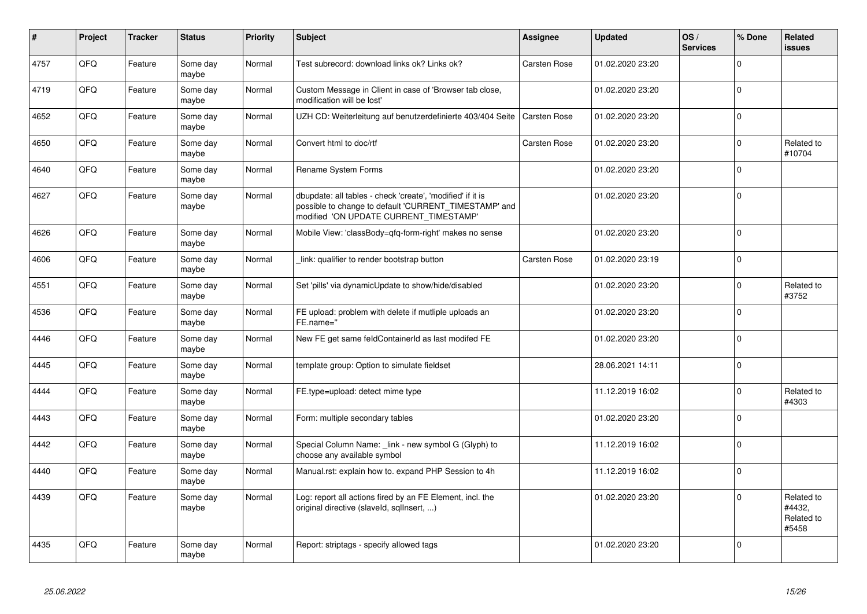| $\vert$ # | Project | <b>Tracker</b> | <b>Status</b>     | <b>Priority</b> | Subject                                                                                                                                                       | Assignee     | <b>Updated</b>   | OS/<br><b>Services</b> | % Done      | <b>Related</b><br><b>issues</b>             |
|-----------|---------|----------------|-------------------|-----------------|---------------------------------------------------------------------------------------------------------------------------------------------------------------|--------------|------------------|------------------------|-------------|---------------------------------------------|
| 4757      | QFQ     | Feature        | Some day<br>maybe | Normal          | Test subrecord: download links ok? Links ok?                                                                                                                  | Carsten Rose | 01.02.2020 23:20 |                        | $\Omega$    |                                             |
| 4719      | QFQ     | Feature        | Some day<br>maybe | Normal          | Custom Message in Client in case of 'Browser tab close,<br>modification will be lost'                                                                         |              | 01.02.2020 23:20 |                        | $\mathbf 0$ |                                             |
| 4652      | QFQ     | Feature        | Some day<br>maybe | Normal          | UZH CD: Weiterleitung auf benutzerdefinierte 403/404 Seite                                                                                                    | Carsten Rose | 01.02.2020 23:20 |                        | $\mathbf 0$ |                                             |
| 4650      | QFQ     | Feature        | Some day<br>maybe | Normal          | Convert html to doc/rtf                                                                                                                                       | Carsten Rose | 01.02.2020 23:20 |                        | 0           | Related to<br>#10704                        |
| 4640      | QFQ     | Feature        | Some day<br>maybe | Normal          | Rename System Forms                                                                                                                                           |              | 01.02.2020 23:20 |                        | $\mathbf 0$ |                                             |
| 4627      | QFQ     | Feature        | Some day<br>maybe | Normal          | dbupdate: all tables - check 'create', 'modified' if it is<br>possible to change to default 'CURRENT_TIMESTAMP' and<br>modified 'ON UPDATE CURRENT TIMESTAMP' |              | 01.02.2020 23:20 |                        | 0           |                                             |
| 4626      | QFQ     | Feature        | Some day<br>maybe | Normal          | Mobile View: 'classBody=qfq-form-right' makes no sense                                                                                                        |              | 01.02.2020 23:20 |                        | $\mathbf 0$ |                                             |
| 4606      | QFQ     | Feature        | Some day<br>maybe | Normal          | link: qualifier to render bootstrap button                                                                                                                    | Carsten Rose | 01.02.2020 23:19 |                        | $\mathbf 0$ |                                             |
| 4551      | QFQ     | Feature        | Some day<br>maybe | Normal          | Set 'pills' via dynamicUpdate to show/hide/disabled                                                                                                           |              | 01.02.2020 23:20 |                        | 0           | Related to<br>#3752                         |
| 4536      | QFQ     | Feature        | Some day<br>maybe | Normal          | FE upload: problem with delete if mutliple uploads an<br>FE.name="                                                                                            |              | 01.02.2020 23:20 |                        | $\mathbf 0$ |                                             |
| 4446      | QFQ     | Feature        | Some day<br>maybe | Normal          | New FE get same feldContainerId as last modifed FE                                                                                                            |              | 01.02.2020 23:20 |                        | 0           |                                             |
| 4445      | QFQ     | Feature        | Some day<br>maybe | Normal          | template group: Option to simulate fieldset                                                                                                                   |              | 28.06.2021 14:11 |                        | $\mathbf 0$ |                                             |
| 4444      | QFQ     | Feature        | Some day<br>maybe | Normal          | FE.type=upload: detect mime type                                                                                                                              |              | 11.12.2019 16:02 |                        | $\mathbf 0$ | Related to<br>#4303                         |
| 4443      | QFQ     | Feature        | Some day<br>maybe | Normal          | Form: multiple secondary tables                                                                                                                               |              | 01.02.2020 23:20 |                        | $\mathbf 0$ |                                             |
| 4442      | QFQ     | Feature        | Some day<br>maybe | Normal          | Special Column Name: _link - new symbol G (Glyph) to<br>choose any available symbol                                                                           |              | 11.12.2019 16:02 |                        | $\mathbf 0$ |                                             |
| 4440      | QFQ     | Feature        | Some day<br>maybe | Normal          | Manual.rst: explain how to. expand PHP Session to 4h                                                                                                          |              | 11.12.2019 16:02 |                        | 0           |                                             |
| 4439      | QFQ     | Feature        | Some day<br>maybe | Normal          | Log: report all actions fired by an FE Element, incl. the<br>original directive (slaveld, sqllnsert, )                                                        |              | 01.02.2020 23:20 |                        | $\Omega$    | Related to<br>#4432.<br>Related to<br>#5458 |
| 4435      | QFQ     | Feature        | Some day<br>maybe | Normal          | Report: striptags - specify allowed tags                                                                                                                      |              | 01.02.2020 23:20 |                        | $\Omega$    |                                             |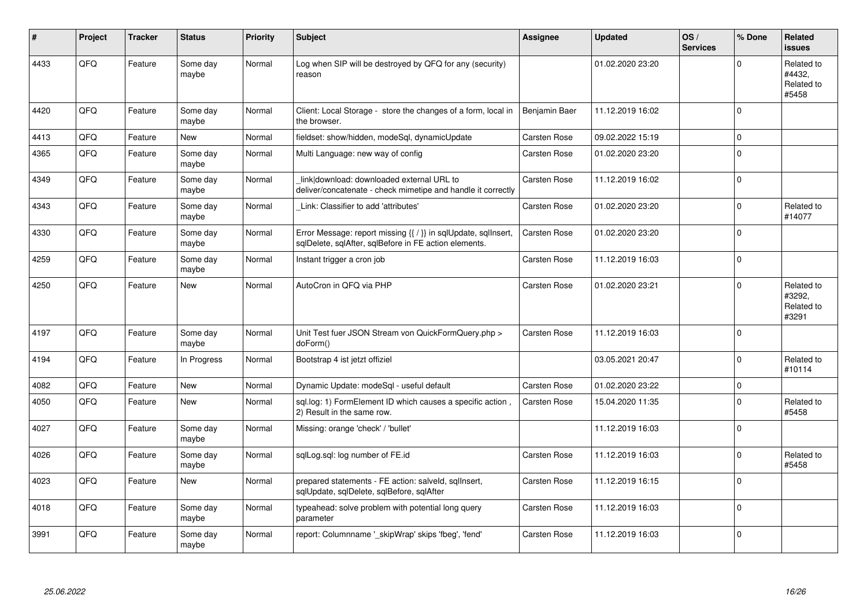| $\vert$ # | Project | <b>Tracker</b> | <b>Status</b>     | <b>Priority</b> | <b>Subject</b>                                                                                                          | Assignee      | <b>Updated</b>   | OS/<br><b>Services</b> | % Done      | Related<br>issues                           |
|-----------|---------|----------------|-------------------|-----------------|-------------------------------------------------------------------------------------------------------------------------|---------------|------------------|------------------------|-------------|---------------------------------------------|
| 4433      | QFQ     | Feature        | Some day<br>maybe | Normal          | Log when SIP will be destroyed by QFQ for any (security)<br>reason                                                      |               | 01.02.2020 23:20 |                        | $\Omega$    | Related to<br>#4432,<br>Related to<br>#5458 |
| 4420      | QFQ     | Feature        | Some day<br>maybe | Normal          | Client: Local Storage - store the changes of a form, local in<br>the browser.                                           | Benjamin Baer | 11.12.2019 16:02 |                        | $\Omega$    |                                             |
| 4413      | QFQ     | Feature        | <b>New</b>        | Normal          | fieldset: show/hidden, modeSql, dynamicUpdate                                                                           | Carsten Rose  | 09.02.2022 15:19 |                        | $\mathbf 0$ |                                             |
| 4365      | QFQ     | Feature        | Some day<br>maybe | Normal          | Multi Language: new way of config                                                                                       | Carsten Rose  | 01.02.2020 23:20 |                        | $\Omega$    |                                             |
| 4349      | QFQ     | Feature        | Some day<br>maybe | Normal          | link download: downloaded external URL to<br>deliver/concatenate - check mimetipe and handle it correctly               | Carsten Rose  | 11.12.2019 16:02 |                        | $\Omega$    |                                             |
| 4343      | QFQ     | Feature        | Some day<br>maybe | Normal          | Link: Classifier to add 'attributes'                                                                                    | Carsten Rose  | 01.02.2020 23:20 |                        | $\mathbf 0$ | Related to<br>#14077                        |
| 4330      | QFQ     | Feature        | Some day<br>maybe | Normal          | Error Message: report missing {{ / }} in sqlUpdate, sqlInsert,<br>sglDelete, sglAfter, sglBefore in FE action elements. | Carsten Rose  | 01.02.2020 23:20 |                        | $\mathbf 0$ |                                             |
| 4259      | QFQ     | Feature        | Some day<br>maybe | Normal          | Instant trigger a cron job                                                                                              | Carsten Rose  | 11.12.2019 16:03 |                        | $\mathbf 0$ |                                             |
| 4250      | QFQ     | Feature        | <b>New</b>        | Normal          | AutoCron in QFQ via PHP                                                                                                 | Carsten Rose  | 01.02.2020 23:21 |                        | $\Omega$    | Related to<br>#3292,<br>Related to<br>#3291 |
| 4197      | QFQ     | Feature        | Some day<br>maybe | Normal          | Unit Test fuer JSON Stream von QuickFormQuery.php ><br>doForm()                                                         | Carsten Rose  | 11.12.2019 16:03 |                        | $\mathbf 0$ |                                             |
| 4194      | QFQ     | Feature        | In Progress       | Normal          | Bootstrap 4 ist jetzt offiziel                                                                                          |               | 03.05.2021 20:47 |                        | $\mathbf 0$ | Related to<br>#10114                        |
| 4082      | QFQ     | Feature        | <b>New</b>        | Normal          | Dynamic Update: modeSql - useful default                                                                                | Carsten Rose  | 01.02.2020 23:22 |                        | $\mathbf 0$ |                                             |
| 4050      | QFQ     | Feature        | <b>New</b>        | Normal          | sql.log: 1) FormElement ID which causes a specific action,<br>2) Result in the same row.                                | Carsten Rose  | 15.04.2020 11:35 |                        | $\Omega$    | Related to<br>#5458                         |
| 4027      | QFQ     | Feature        | Some day<br>maybe | Normal          | Missing: orange 'check' / 'bullet'                                                                                      |               | 11.12.2019 16:03 |                        | $\Omega$    |                                             |
| 4026      | QFQ     | Feature        | Some day<br>maybe | Normal          | sqlLog.sql: log number of FE.id                                                                                         | Carsten Rose  | 11.12.2019 16:03 |                        | $\Omega$    | Related to<br>#5458                         |
| 4023      | QFQ     | Feature        | New               | Normal          | prepared statements - FE action: salveld, sqllnsert,<br>sqlUpdate, sqlDelete, sqlBefore, sqlAfter                       | Carsten Rose  | 11.12.2019 16:15 |                        | $\mathbf 0$ |                                             |
| 4018      | QFQ     | Feature        | Some day<br>maybe | Normal          | typeahead: solve problem with potential long query<br>parameter                                                         | Carsten Rose  | 11.12.2019 16:03 |                        | $\Omega$    |                                             |
| 3991      | QFQ     | Feature        | Some day<br>maybe | Normal          | report: Columnname ' skipWrap' skips 'fbeg', 'fend'                                                                     | Carsten Rose  | 11.12.2019 16:03 |                        | $\mathbf 0$ |                                             |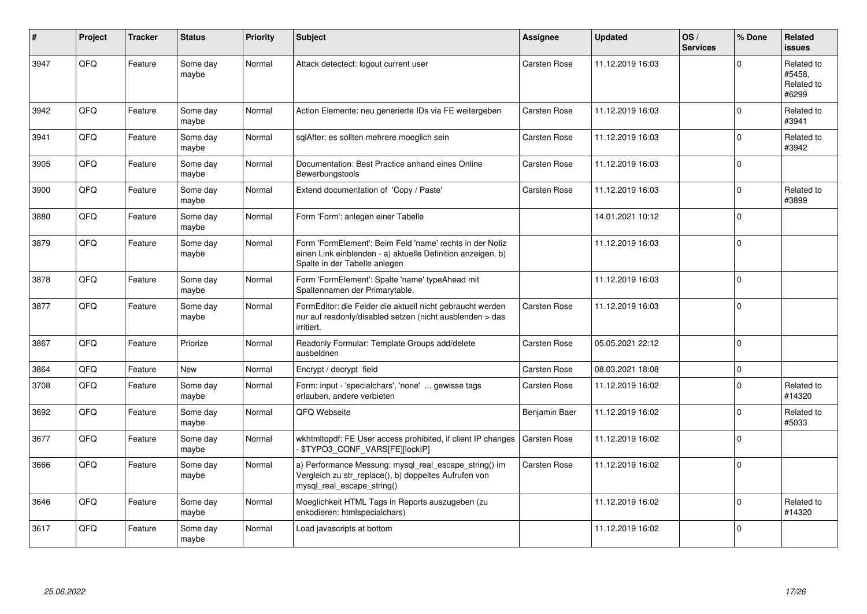| #    | Project | <b>Tracker</b> | <b>Status</b>     | <b>Priority</b> | <b>Subject</b>                                                                                                                                           | <b>Assignee</b> | <b>Updated</b>   | OS/<br><b>Services</b> | % Done      | Related<br><b>issues</b>                    |
|------|---------|----------------|-------------------|-----------------|----------------------------------------------------------------------------------------------------------------------------------------------------------|-----------------|------------------|------------------------|-------------|---------------------------------------------|
| 3947 | QFQ     | Feature        | Some day<br>maybe | Normal          | Attack detectect: logout current user                                                                                                                    | Carsten Rose    | 11.12.2019 16:03 |                        | $\Omega$    | Related to<br>#5458.<br>Related to<br>#6299 |
| 3942 | QFQ     | Feature        | Some day<br>maybe | Normal          | Action Elemente: neu generierte IDs via FE weitergeben                                                                                                   | Carsten Rose    | 11.12.2019 16:03 |                        | $\mathbf 0$ | Related to<br>#3941                         |
| 3941 | QFQ     | Feature        | Some day<br>maybe | Normal          | sqlAfter: es sollten mehrere moeglich sein                                                                                                               | Carsten Rose    | 11.12.2019 16:03 |                        | $\Omega$    | Related to<br>#3942                         |
| 3905 | QFQ     | Feature        | Some day<br>maybe | Normal          | Documentation: Best Practice anhand eines Online<br>Bewerbungstools                                                                                      | Carsten Rose    | 11.12.2019 16:03 |                        | $\Omega$    |                                             |
| 3900 | QFQ     | Feature        | Some day<br>maybe | Normal          | Extend documentation of 'Copy / Paste'                                                                                                                   | Carsten Rose    | 11.12.2019 16:03 |                        | $\Omega$    | Related to<br>#3899                         |
| 3880 | QFQ     | Feature        | Some day<br>maybe | Normal          | Form 'Form': anlegen einer Tabelle                                                                                                                       |                 | 14.01.2021 10:12 |                        | $\Omega$    |                                             |
| 3879 | QFQ     | Feature        | Some day<br>maybe | Normal          | Form 'FormElement': Beim Feld 'name' rechts in der Notiz<br>einen Link einblenden - a) aktuelle Definition anzeigen, b)<br>Spalte in der Tabelle anlegen |                 | 11.12.2019 16:03 |                        | $\Omega$    |                                             |
| 3878 | QFQ     | Feature        | Some day<br>maybe | Normal          | Form 'FormElement': Spalte 'name' typeAhead mit<br>Spaltennamen der Primarytable.                                                                        |                 | 11.12.2019 16:03 |                        | $\mathbf 0$ |                                             |
| 3877 | QFQ     | Feature        | Some day<br>maybe | Normal          | FormEditor: die Felder die aktuell nicht gebraucht werden<br>nur auf readonly/disabled setzen (nicht ausblenden > das<br>irritiert.                      | Carsten Rose    | 11.12.2019 16:03 |                        | $\Omega$    |                                             |
| 3867 | QFQ     | Feature        | Priorize          | Normal          | Readonly Formular: Template Groups add/delete<br>ausbeldnen                                                                                              | Carsten Rose    | 05.05.2021 22:12 |                        | $\Omega$    |                                             |
| 3864 | QFQ     | Feature        | <b>New</b>        | Normal          | Encrypt / decrypt field                                                                                                                                  | Carsten Rose    | 08.03.2021 18:08 |                        | $\mathbf 0$ |                                             |
| 3708 | QFQ     | Feature        | Some day<br>maybe | Normal          | Form: input - 'specialchars', 'none'  gewisse tags<br>erlauben, andere verbieten                                                                         | Carsten Rose    | 11.12.2019 16:02 |                        | $\Omega$    | Related to<br>#14320                        |
| 3692 | QFQ     | Feature        | Some day<br>maybe | Normal          | QFQ Webseite                                                                                                                                             | Benjamin Baer   | 11.12.2019 16:02 |                        | $\mathbf 0$ | Related to<br>#5033                         |
| 3677 | QFQ     | Feature        | Some day<br>maybe | Normal          | wkhtmltopdf: FE User access prohibited, if client IP changes<br>- \$TYPO3_CONF_VARS[FE][lockIP]                                                          | Carsten Rose    | 11.12.2019 16:02 |                        | $\Omega$    |                                             |
| 3666 | QFQ     | Feature        | Some day<br>maybe | Normal          | a) Performance Messung: mysql_real_escape_string() im<br>Vergleich zu str_replace(), b) doppeltes Aufrufen von<br>mysql real escape string()             | Carsten Rose    | 11.12.2019 16:02 |                        | $\Omega$    |                                             |
| 3646 | QFQ     | Feature        | Some day<br>maybe | Normal          | Moeglichkeit HTML Tags in Reports auszugeben (zu<br>enkodieren: htmlspecialchars)                                                                        |                 | 11.12.2019 16:02 |                        | $\Omega$    | Related to<br>#14320                        |
| 3617 | QFQ     | Feature        | Some day<br>maybe | Normal          | Load javascripts at bottom                                                                                                                               |                 | 11.12.2019 16:02 |                        | $\Omega$    |                                             |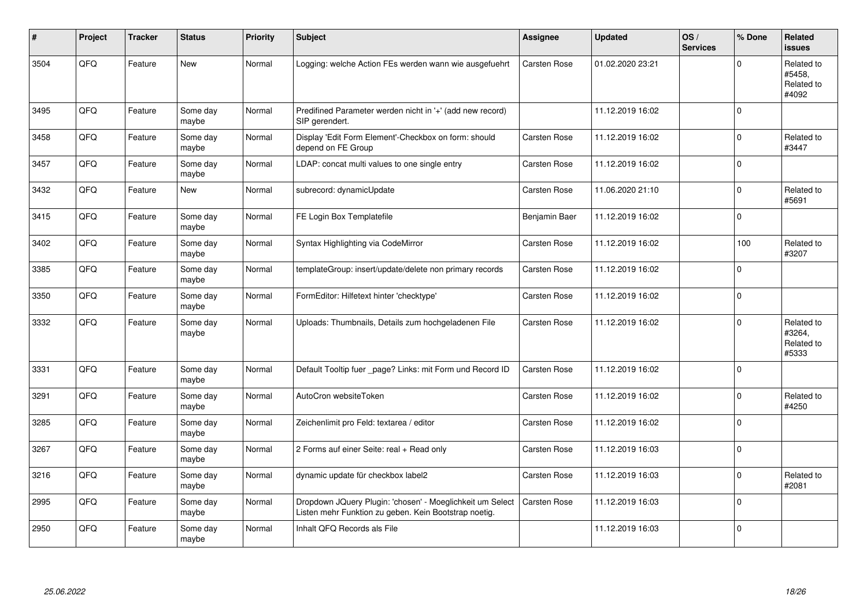| #    | <b>Project</b> | <b>Tracker</b> | <b>Status</b>     | <b>Priority</b> | <b>Subject</b>                                                                                                     | <b>Assignee</b> | <b>Updated</b>   | OS/<br><b>Services</b> | % Done      | <b>Related</b><br>issues                    |
|------|----------------|----------------|-------------------|-----------------|--------------------------------------------------------------------------------------------------------------------|-----------------|------------------|------------------------|-------------|---------------------------------------------|
| 3504 | QFQ            | Feature        | <b>New</b>        | Normal          | Logging: welche Action FEs werden wann wie ausgefuehrt                                                             | Carsten Rose    | 01.02.2020 23:21 |                        | $\Omega$    | Related to<br>#5458.<br>Related to<br>#4092 |
| 3495 | QFQ            | Feature        | Some day<br>maybe | Normal          | Predifined Parameter werden nicht in '+' (add new record)<br>SIP gerendert.                                        |                 | 11.12.2019 16:02 |                        | $\Omega$    |                                             |
| 3458 | QFQ            | Feature        | Some day<br>maybe | Normal          | Display 'Edit Form Element'-Checkbox on form: should<br>depend on FE Group                                         | Carsten Rose    | 11.12.2019 16:02 |                        | $\mathbf 0$ | Related to<br>#3447                         |
| 3457 | QFQ            | Feature        | Some day<br>maybe | Normal          | LDAP: concat multi values to one single entry                                                                      | Carsten Rose    | 11.12.2019 16:02 |                        | $\mathbf 0$ |                                             |
| 3432 | QFQ            | Feature        | <b>New</b>        | Normal          | subrecord: dynamicUpdate                                                                                           | Carsten Rose    | 11.06.2020 21:10 |                        | $\mathbf 0$ | Related to<br>#5691                         |
| 3415 | QFQ            | Feature        | Some day<br>maybe | Normal          | FE Login Box Templatefile                                                                                          | Benjamin Baer   | 11.12.2019 16:02 |                        | 0           |                                             |
| 3402 | QFQ            | Feature        | Some day<br>maybe | Normal          | Syntax Highlighting via CodeMirror                                                                                 | Carsten Rose    | 11.12.2019 16:02 |                        | 100         | Related to<br>#3207                         |
| 3385 | QFQ            | Feature        | Some day<br>maybe | Normal          | templateGroup: insert/update/delete non primary records                                                            | Carsten Rose    | 11.12.2019 16:02 |                        | $\Omega$    |                                             |
| 3350 | QFQ            | Feature        | Some day<br>maybe | Normal          | FormEditor: Hilfetext hinter 'checktype'                                                                           | Carsten Rose    | 11.12.2019 16:02 |                        | 0           |                                             |
| 3332 | QFQ            | Feature        | Some day<br>maybe | Normal          | Uploads: Thumbnails, Details zum hochgeladenen File                                                                | Carsten Rose    | 11.12.2019 16:02 |                        | $\Omega$    | Related to<br>#3264,<br>Related to<br>#5333 |
| 3331 | QFQ            | Feature        | Some day<br>maybe | Normal          | Default Tooltip fuer _page? Links: mit Form und Record ID                                                          | Carsten Rose    | 11.12.2019 16:02 |                        | $\Omega$    |                                             |
| 3291 | QFQ            | Feature        | Some day<br>maybe | Normal          | AutoCron websiteToken                                                                                              | Carsten Rose    | 11.12.2019 16:02 |                        | $\Omega$    | Related to<br>#4250                         |
| 3285 | QFQ            | Feature        | Some day<br>maybe | Normal          | Zeichenlimit pro Feld: textarea / editor                                                                           | Carsten Rose    | 11.12.2019 16:02 |                        | $\mathbf 0$ |                                             |
| 3267 | QFQ            | Feature        | Some day<br>maybe | Normal          | 2 Forms auf einer Seite: real + Read only                                                                          | Carsten Rose    | 11.12.2019 16:03 |                        | $\mathbf 0$ |                                             |
| 3216 | QFQ            | Feature        | Some day<br>maybe | Normal          | dynamic update für checkbox label2                                                                                 | Carsten Rose    | 11.12.2019 16:03 |                        | 0           | Related to<br>#2081                         |
| 2995 | QFQ            | Feature        | Some day<br>maybe | Normal          | Dropdown JQuery Plugin: 'chosen' - Moeglichkeit um Select<br>Listen mehr Funktion zu geben. Kein Bootstrap noetig. | Carsten Rose    | 11.12.2019 16:03 |                        | $\mathbf 0$ |                                             |
| 2950 | QFQ            | Feature        | Some day<br>maybe | Normal          | Inhalt QFQ Records als File                                                                                        |                 | 11.12.2019 16:03 |                        | $\Omega$    |                                             |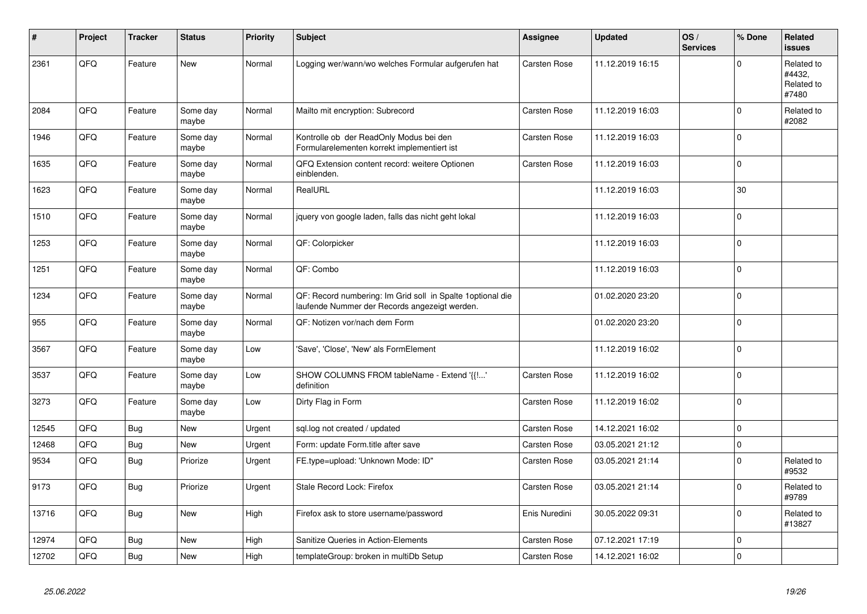| $\sharp$ | Project | <b>Tracker</b> | <b>Status</b>     | <b>Priority</b> | <b>Subject</b>                                                                                               | Assignee      | <b>Updated</b>   | OS/<br><b>Services</b> | % Done         | Related<br><b>issues</b>                    |
|----------|---------|----------------|-------------------|-----------------|--------------------------------------------------------------------------------------------------------------|---------------|------------------|------------------------|----------------|---------------------------------------------|
| 2361     | QFQ     | Feature        | New               | Normal          | Logging wer/wann/wo welches Formular aufgerufen hat                                                          | Carsten Rose  | 11.12.2019 16:15 |                        | $\mathbf 0$    | Related to<br>#4432,<br>Related to<br>#7480 |
| 2084     | QFQ     | Feature        | Some day<br>maybe | Normal          | Mailto mit encryption: Subrecord                                                                             | Carsten Rose  | 11.12.2019 16:03 |                        | $\mathbf 0$    | Related to<br>#2082                         |
| 1946     | QFQ     | Feature        | Some day<br>maybe | Normal          | Kontrolle ob der ReadOnly Modus bei den<br>Formularelementen korrekt implementiert ist                       | Carsten Rose  | 11.12.2019 16:03 |                        | $\Omega$       |                                             |
| 1635     | QFQ     | Feature        | Some day<br>maybe | Normal          | QFQ Extension content record: weitere Optionen<br>einblenden.                                                | Carsten Rose  | 11.12.2019 16:03 |                        | $\pmb{0}$      |                                             |
| 1623     | QFQ     | Feature        | Some day<br>maybe | Normal          | RealURL                                                                                                      |               | 11.12.2019 16:03 |                        | 30             |                                             |
| 1510     | QFQ     | Feature        | Some day<br>maybe | Normal          | jquery von google laden, falls das nicht geht lokal                                                          |               | 11.12.2019 16:03 |                        | $\mathbf 0$    |                                             |
| 1253     | QFQ     | Feature        | Some day<br>maybe | Normal          | QF: Colorpicker                                                                                              |               | 11.12.2019 16:03 |                        | $\pmb{0}$      |                                             |
| 1251     | QFQ     | Feature        | Some day<br>maybe | Normal          | QF: Combo                                                                                                    |               | 11.12.2019 16:03 |                        | $\mathbf 0$    |                                             |
| 1234     | QFQ     | Feature        | Some day<br>maybe | Normal          | QF: Record numbering: Im Grid soll in Spalte 1 optional die<br>laufende Nummer der Records angezeigt werden. |               | 01.02.2020 23:20 |                        | $\mathbf 0$    |                                             |
| 955      | QFQ     | Feature        | Some day<br>maybe | Normal          | QF: Notizen vor/nach dem Form                                                                                |               | 01.02.2020 23:20 |                        | 0              |                                             |
| 3567     | QFQ     | Feature        | Some day<br>maybe | Low             | 'Save', 'Close', 'New' als FormElement                                                                       |               | 11.12.2019 16:02 |                        | $\mathbf 0$    |                                             |
| 3537     | QFQ     | Feature        | Some day<br>maybe | Low             | SHOW COLUMNS FROM tableName - Extend '{{!'<br>definition                                                     | Carsten Rose  | 11.12.2019 16:02 |                        | $\pmb{0}$      |                                             |
| 3273     | QFQ     | Feature        | Some day<br>maybe | Low             | Dirty Flag in Form                                                                                           | Carsten Rose  | 11.12.2019 16:02 |                        | $\mathbf 0$    |                                             |
| 12545    | QFQ     | Bug            | <b>New</b>        | Urgent          | sql.log not created / updated                                                                                | Carsten Rose  | 14.12.2021 16:02 |                        | $\mathbf 0$    |                                             |
| 12468    | QFQ     | <b>Bug</b>     | New               | Urgent          | Form: update Form.title after save                                                                           | Carsten Rose  | 03.05.2021 21:12 |                        | $\pmb{0}$      |                                             |
| 9534     | QFQ     | Bug            | Priorize          | Urgent          | FE.type=upload: 'Unknown Mode: ID"                                                                           | Carsten Rose  | 03.05.2021 21:14 |                        | $\mathbf 0$    | Related to<br>#9532                         |
| 9173     | QFQ     | Bug            | Priorize          | Urgent          | Stale Record Lock: Firefox                                                                                   | Carsten Rose  | 03.05.2021 21:14 |                        | $\overline{0}$ | Related to<br>#9789                         |
| 13716    | QFQ     | Bug            | New               | High            | Firefox ask to store username/password                                                                       | Enis Nuredini | 30.05.2022 09:31 |                        | $\mathbf 0$    | Related to<br>#13827                        |
| 12974    | QFQ     | Bug            | New               | High            | Sanitize Queries in Action-Elements                                                                          | Carsten Rose  | 07.12.2021 17:19 |                        | $\mathsf 0$    |                                             |
| 12702    | QFQ     | Bug            | New               | High            | templateGroup: broken in multiDb Setup                                                                       | Carsten Rose  | 14.12.2021 16:02 |                        | $\pmb{0}$      |                                             |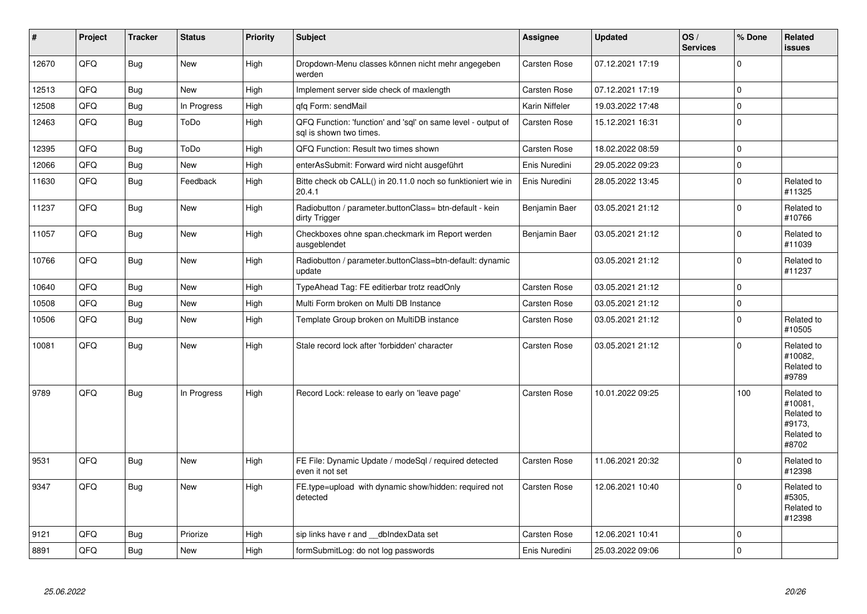| $\vert$ # | Project | <b>Tracker</b> | <b>Status</b> | <b>Priority</b> | Subject                                                                                 | <b>Assignee</b>     | <b>Updated</b>   | OS/<br><b>Services</b> | % Done       | <b>Related</b><br><b>issues</b>                                      |
|-----------|---------|----------------|---------------|-----------------|-----------------------------------------------------------------------------------------|---------------------|------------------|------------------------|--------------|----------------------------------------------------------------------|
| 12670     | QFQ     | <b>Bug</b>     | <b>New</b>    | High            | Dropdown-Menu classes können nicht mehr angegeben<br>werden                             | <b>Carsten Rose</b> | 07.12.2021 17:19 |                        | $\Omega$     |                                                                      |
| 12513     | QFQ     | <b>Bug</b>     | <b>New</b>    | High            | Implement server side check of maxlength                                                | <b>Carsten Rose</b> | 07.12.2021 17:19 |                        | $\mathbf 0$  |                                                                      |
| 12508     | QFQ     | Bug            | In Progress   | High            | gfg Form: sendMail                                                                      | Karin Niffeler      | 19.03.2022 17:48 |                        | $\mathbf{0}$ |                                                                      |
| 12463     | QFQ     | Bug            | ToDo          | High            | QFQ Function: 'function' and 'sql' on same level - output of<br>sal is shown two times. | <b>Carsten Rose</b> | 15.12.2021 16:31 |                        | $\mathbf 0$  |                                                                      |
| 12395     | QFQ     | Bug            | ToDo          | High            | QFQ Function: Result two times shown                                                    | Carsten Rose        | 18.02.2022 08:59 |                        | $\mathbf 0$  |                                                                      |
| 12066     | QFQ     | Bug            | New           | High            | enterAsSubmit: Forward wird nicht ausgeführt                                            | Enis Nuredini       | 29.05.2022 09:23 |                        | $\mathbf 0$  |                                                                      |
| 11630     | QFQ     | <b>Bug</b>     | Feedback      | High            | Bitte check ob CALL() in 20.11.0 noch so funktioniert wie in<br>20.4.1                  | Enis Nuredini       | 28.05.2022 13:45 |                        | $\Omega$     | Related to<br>#11325                                                 |
| 11237     | QFQ     | Bug            | New           | High            | Radiobutton / parameter.buttonClass= btn-default - kein<br>dirty Trigger                | Benjamin Baer       | 03.05.2021 21:12 |                        | $\Omega$     | Related to<br>#10766                                                 |
| 11057     | QFQ     | Bug            | <b>New</b>    | High            | Checkboxes ohne span.checkmark im Report werden<br>ausgeblendet                         | Benjamin Baer       | 03.05.2021 21:12 |                        | $\Omega$     | Related to<br>#11039                                                 |
| 10766     | QFQ     | <b>Bug</b>     | New           | High            | Radiobutton / parameter.buttonClass=btn-default: dynamic<br>update                      |                     | 03.05.2021 21:12 |                        | $\Omega$     | Related to<br>#11237                                                 |
| 10640     | QFQ     | <b>Bug</b>     | New           | High            | TypeAhead Tag: FE editierbar trotz readOnly                                             | Carsten Rose        | 03.05.2021 21:12 |                        | $\mathbf 0$  |                                                                      |
| 10508     | QFQ     | <b>Bug</b>     | <b>New</b>    | High            | Multi Form broken on Multi DB Instance                                                  | Carsten Rose        | 03.05.2021 21:12 |                        | $\pmb{0}$    |                                                                      |
| 10506     | QFQ     | Bug            | New           | High            | Template Group broken on MultiDB instance                                               | <b>Carsten Rose</b> | 03.05.2021 21:12 |                        | $\mathbf 0$  | Related to<br>#10505                                                 |
| 10081     | QFQ     | Bug            | New           | High            | Stale record lock after 'forbidden' character                                           | <b>Carsten Rose</b> | 03.05.2021 21:12 |                        | $\Omega$     | Related to<br>#10082,<br>Related to<br>#9789                         |
| 9789      | QFQ     | Bug            | In Progress   | High            | Record Lock: release to early on 'leave page'                                           | <b>Carsten Rose</b> | 10.01.2022 09:25 |                        | 100          | Related to<br>#10081,<br>Related to<br>#9173.<br>Related to<br>#8702 |
| 9531      | QFQ     | Bug            | <b>New</b>    | High            | FE File: Dynamic Update / modeSql / required detected<br>even it not set                | <b>Carsten Rose</b> | 11.06.2021 20:32 |                        | $\Omega$     | Related to<br>#12398                                                 |
| 9347      | OFQ     | <b>Bug</b>     | New           | High            | FE.type=upload with dynamic show/hidden: required not<br>detected                       | Carsten Rose        | 12.06.2021 10:40 |                        | $\Omega$     | Related to<br>#5305.<br>Related to<br>#12398                         |
| 9121      | QFQ     | Bug            | Priorize      | High            | sip links have r and dblndexData set                                                    | <b>Carsten Rose</b> | 12.06.2021 10:41 |                        | $\mathbf 0$  |                                                                      |
| 8891      | QFQ     | <b>Bug</b>     | <b>New</b>    | High            | formSubmitLog: do not log passwords                                                     | Enis Nuredini       | 25.03.2022 09:06 |                        | $\Omega$     |                                                                      |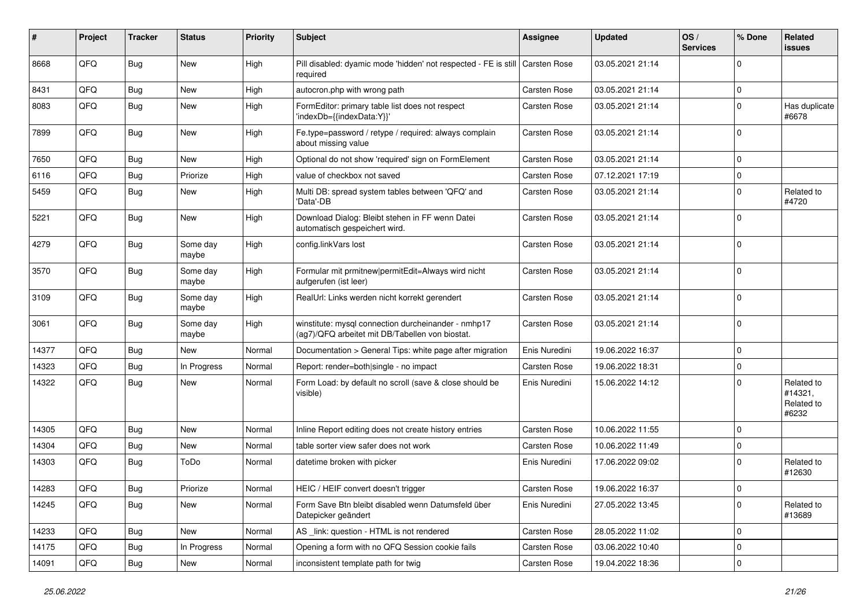| #     | Project | <b>Tracker</b> | <b>Status</b>     | <b>Priority</b> | <b>Subject</b>                                                                                         | Assignee            | <b>Updated</b>   | OS/<br><b>Services</b> | % Done      | Related<br><b>issues</b>                     |
|-------|---------|----------------|-------------------|-----------------|--------------------------------------------------------------------------------------------------------|---------------------|------------------|------------------------|-------------|----------------------------------------------|
| 8668  | QFQ     | <b>Bug</b>     | <b>New</b>        | High            | Pill disabled: dyamic mode 'hidden' not respected - FE is still Carsten Rose<br>required               |                     | 03.05.2021 21:14 |                        | $\Omega$    |                                              |
| 8431  | QFQ     | <b>Bug</b>     | <b>New</b>        | High            | autocron.php with wrong path                                                                           | <b>Carsten Rose</b> | 03.05.2021 21:14 |                        | $\mathbf 0$ |                                              |
| 8083  | QFQ     | <b>Bug</b>     | New               | High            | FormEditor: primary table list does not respect<br>'indexDb={{indexData:Y}}'                           | Carsten Rose        | 03.05.2021 21:14 |                        | $\Omega$    | Has duplicate<br>#6678                       |
| 7899  | QFQ     | <b>Bug</b>     | New               | High            | Fe.type=password / retype / required: always complain<br>about missing value                           | <b>Carsten Rose</b> | 03.05.2021 21:14 |                        | $\mathbf 0$ |                                              |
| 7650  | QFQ     | <b>Bug</b>     | <b>New</b>        | High            | Optional do not show 'required' sign on FormElement                                                    | Carsten Rose        | 03.05.2021 21:14 |                        | $\Omega$    |                                              |
| 6116  | QFQ     | Bug            | Priorize          | High            | value of checkbox not saved                                                                            | <b>Carsten Rose</b> | 07.12.2021 17:19 |                        | $\mathbf 0$ |                                              |
| 5459  | QFQ     | <b>Bug</b>     | New               | High            | Multi DB: spread system tables between 'QFQ' and<br>'Data'-DB                                          | Carsten Rose        | 03.05.2021 21:14 |                        | $\Omega$    | Related to<br>#4720                          |
| 5221  | QFQ     | Bug            | New               | High            | Download Dialog: Bleibt stehen in FF wenn Datei<br>automatisch gespeichert wird.                       | <b>Carsten Rose</b> | 03.05.2021 21:14 |                        | $\Omega$    |                                              |
| 4279  | QFQ     | <b>Bug</b>     | Some day<br>maybe | High            | config.linkVars lost                                                                                   | <b>Carsten Rose</b> | 03.05.2021 21:14 |                        | $\mathbf 0$ |                                              |
| 3570  | QFQ     | <b>Bug</b>     | Some day<br>maybe | High            | Formular mit prmitnew permitEdit=Always wird nicht<br>aufgerufen (ist leer)                            | Carsten Rose        | 03.05.2021 21:14 |                        | $\Omega$    |                                              |
| 3109  | QFQ     | <b>Bug</b>     | Some day<br>maybe | High            | RealUrl: Links werden nicht korrekt gerendert                                                          | <b>Carsten Rose</b> | 03.05.2021 21:14 |                        | $\mathbf 0$ |                                              |
| 3061  | QFQ     | <b>Bug</b>     | Some day<br>maybe | High            | winstitute: mysql connection durcheinander - nmhp17<br>(ag7)/QFQ arbeitet mit DB/Tabellen von biostat. | <b>Carsten Rose</b> | 03.05.2021 21:14 |                        | $\Omega$    |                                              |
| 14377 | QFQ     | <b>Bug</b>     | New               | Normal          | Documentation > General Tips: white page after migration                                               | Enis Nuredini       | 19.06.2022 16:37 |                        | $\Omega$    |                                              |
| 14323 | QFQ     | <b>Bug</b>     | In Progress       | Normal          | Report: render=both single - no impact                                                                 | <b>Carsten Rose</b> | 19.06.2022 18:31 |                        | $\Omega$    |                                              |
| 14322 | QFQ     | <b>Bug</b>     | New               | Normal          | Form Load: by default no scroll (save & close should be<br>visible)                                    | Enis Nuredini       | 15.06.2022 14:12 |                        | $\Omega$    | Related to<br>#14321,<br>Related to<br>#6232 |
| 14305 | QFQ     | <b>Bug</b>     | <b>New</b>        | Normal          | Inline Report editing does not create history entries                                                  | Carsten Rose        | 10.06.2022 11:55 |                        | $\mathbf 0$ |                                              |
| 14304 | QFQ     | <b>Bug</b>     | New               | Normal          | table sorter view safer does not work                                                                  | <b>Carsten Rose</b> | 10.06.2022 11:49 |                        | 0           |                                              |
| 14303 | QFQ     | Bug            | ToDo              | Normal          | datetime broken with picker                                                                            | Enis Nuredini       | 17.06.2022 09:02 |                        | $\Omega$    | Related to<br>#12630                         |
| 14283 | QFQ     | Bug            | Priorize          | Normal          | HEIC / HEIF convert doesn't trigger                                                                    | Carsten Rose        | 19.06.2022 16:37 |                        | $\Omega$    |                                              |
| 14245 | QFQ     | Bug            | New               | Normal          | Form Save Btn bleibt disabled wenn Datumsfeld über<br>Datepicker geändert                              | Enis Nuredini       | 27.05.2022 13:45 |                        | $\mathbf 0$ | Related to<br>#13689                         |
| 14233 | QFQ     | <b>Bug</b>     | New               | Normal          | AS _link: question - HTML is not rendered                                                              | Carsten Rose        | 28.05.2022 11:02 |                        | 0           |                                              |
| 14175 | QFQ     | Bug            | In Progress       | Normal          | Opening a form with no QFQ Session cookie fails                                                        | Carsten Rose        | 03.06.2022 10:40 |                        | $\mathbf 0$ |                                              |
| 14091 | QFQ     | Bug            | New               | Normal          | inconsistent template path for twig                                                                    | Carsten Rose        | 19.04.2022 18:36 |                        | 0           |                                              |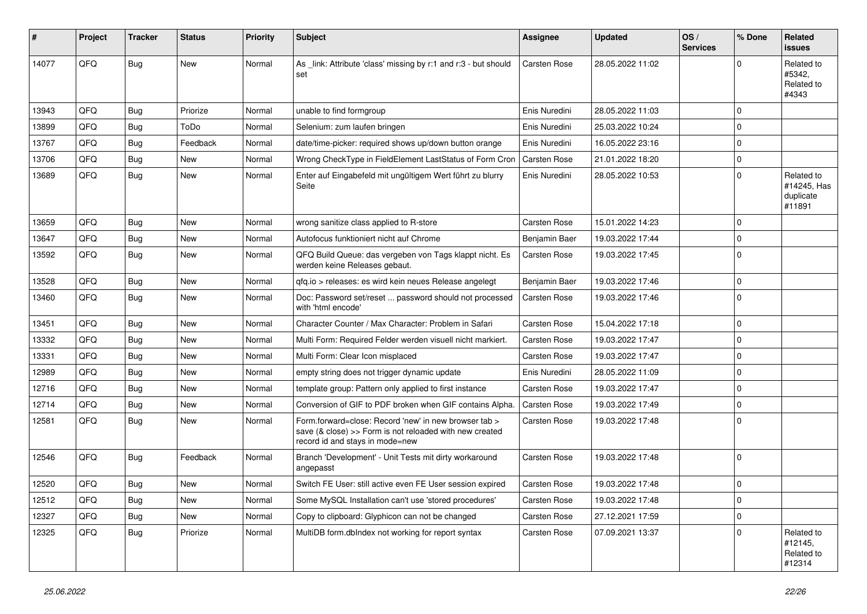| #     | Project | <b>Tracker</b> | <b>Status</b> | <b>Priority</b> | Subject                                                                                                                                             | Assignee      | <b>Updated</b>   | OS/<br><b>Services</b> | % Done      | <b>Related</b><br><b>issues</b>                  |
|-------|---------|----------------|---------------|-----------------|-----------------------------------------------------------------------------------------------------------------------------------------------------|---------------|------------------|------------------------|-------------|--------------------------------------------------|
| 14077 | QFQ     | Bug            | <b>New</b>    | Normal          | As _link: Attribute 'class' missing by r:1 and r:3 - but should<br>set                                                                              | Carsten Rose  | 28.05.2022 11:02 |                        | $\Omega$    | Related to<br>#5342.<br>Related to<br>#4343      |
| 13943 | QFQ     | <b>Bug</b>     | Priorize      | Normal          | unable to find formgroup                                                                                                                            | Enis Nuredini | 28.05.2022 11:03 |                        | $\mathbf 0$ |                                                  |
| 13899 | QFQ     | <b>Bug</b>     | ToDo          | Normal          | Selenium: zum laufen bringen                                                                                                                        | Enis Nuredini | 25.03.2022 10:24 |                        | $\mathbf 0$ |                                                  |
| 13767 | QFQ     | <b>Bug</b>     | Feedback      | Normal          | date/time-picker: required shows up/down button orange                                                                                              | Enis Nuredini | 16.05.2022 23:16 |                        | $\mathbf 0$ |                                                  |
| 13706 | QFQ     | <b>Bug</b>     | <b>New</b>    | Normal          | Wrong CheckType in FieldElement LastStatus of Form Cron                                                                                             | Carsten Rose  | 21.01.2022 18:20 |                        | $\mathbf 0$ |                                                  |
| 13689 | QFQ     | Bug            | New           | Normal          | Enter auf Eingabefeld mit ungültigem Wert führt zu blurry<br>Seite                                                                                  | Enis Nuredini | 28.05.2022 10:53 |                        | $\Omega$    | Related to<br>#14245, Has<br>duplicate<br>#11891 |
| 13659 | QFQ     | <b>Bug</b>     | <b>New</b>    | Normal          | wrong sanitize class applied to R-store                                                                                                             | Carsten Rose  | 15.01.2022 14:23 |                        | $\Omega$    |                                                  |
| 13647 | QFQ     | Bug            | <b>New</b>    | Normal          | Autofocus funktioniert nicht auf Chrome                                                                                                             | Benjamin Baer | 19.03.2022 17:44 |                        | $\mathbf 0$ |                                                  |
| 13592 | QFQ     | <b>Bug</b>     | <b>New</b>    | Normal          | QFQ Build Queue: das vergeben von Tags klappt nicht. Es<br>werden keine Releases gebaut.                                                            | Carsten Rose  | 19.03.2022 17:45 |                        | $\Omega$    |                                                  |
| 13528 | QFQ     | <b>Bug</b>     | <b>New</b>    | Normal          | qfq.io > releases: es wird kein neues Release angelegt                                                                                              | Benjamin Baer | 19.03.2022 17:46 |                        | $\Omega$    |                                                  |
| 13460 | QFQ     | <b>Bug</b>     | <b>New</b>    | Normal          | Doc: Password set/reset  password should not processed<br>with 'html encode'                                                                        | Carsten Rose  | 19.03.2022 17:46 |                        | $\mathbf 0$ |                                                  |
| 13451 | QFQ     | <b>Bug</b>     | <b>New</b>    | Normal          | Character Counter / Max Character: Problem in Safari                                                                                                | Carsten Rose  | 15.04.2022 17:18 |                        | $\mathbf 0$ |                                                  |
| 13332 | QFQ     | <b>Bug</b>     | <b>New</b>    | Normal          | Multi Form: Required Felder werden visuell nicht markiert.                                                                                          | Carsten Rose  | 19.03.2022 17:47 |                        | $\mathbf 0$ |                                                  |
| 13331 | QFQ     | <b>Bug</b>     | <b>New</b>    | Normal          | Multi Form: Clear Icon misplaced                                                                                                                    | Carsten Rose  | 19.03.2022 17:47 |                        | $\mathbf 0$ |                                                  |
| 12989 | QFQ     | <b>Bug</b>     | <b>New</b>    | Normal          | empty string does not trigger dynamic update                                                                                                        | Enis Nuredini | 28.05.2022 11:09 |                        | $\mathbf 0$ |                                                  |
| 12716 | QFQ     | <b>Bug</b>     | New           | Normal          | template group: Pattern only applied to first instance                                                                                              | Carsten Rose  | 19.03.2022 17:47 |                        | $\mathbf 0$ |                                                  |
| 12714 | QFQ     | <b>Bug</b>     | <b>New</b>    | Normal          | Conversion of GIF to PDF broken when GIF contains Alpha.                                                                                            | Carsten Rose  | 19.03.2022 17:49 |                        | $\Omega$    |                                                  |
| 12581 | QFQ     | Bug            | <b>New</b>    | Normal          | Form.forward=close: Record 'new' in new browser tab ><br>save (& close) >> Form is not reloaded with new created<br>record id and stays in mode=new | Carsten Rose  | 19.03.2022 17:48 |                        | $\mathbf 0$ |                                                  |
| 12546 | QFQ     | Bug            | Feedback      | Normal          | Branch 'Development' - Unit Tests mit dirty workaround<br>angepasst                                                                                 | Carsten Rose  | 19.03.2022 17:48 |                        | $\mathbf 0$ |                                                  |
| 12520 | QFQ     | <b>Bug</b>     | New           | Normal          | Switch FE User: still active even FE User session expired                                                                                           | Carsten Rose  | 19.03.2022 17:48 |                        | $\mathbf 0$ |                                                  |
| 12512 | QFQ     | <b>Bug</b>     | New           | Normal          | Some MySQL Installation can't use 'stored procedures'                                                                                               | Carsten Rose  | 19.03.2022 17:48 |                        | $\pmb{0}$   |                                                  |
| 12327 | QFQ     | Bug            | New           | Normal          | Copy to clipboard: Glyphicon can not be changed                                                                                                     | Carsten Rose  | 27.12.2021 17:59 |                        | $\mathbf 0$ |                                                  |
| 12325 | QFQ     | <b>Bug</b>     | Priorize      | Normal          | MultiDB form.dblndex not working for report syntax                                                                                                  | Carsten Rose  | 07.09.2021 13:37 |                        | $\mathbf 0$ | Related to<br>#12145,<br>Related to<br>#12314    |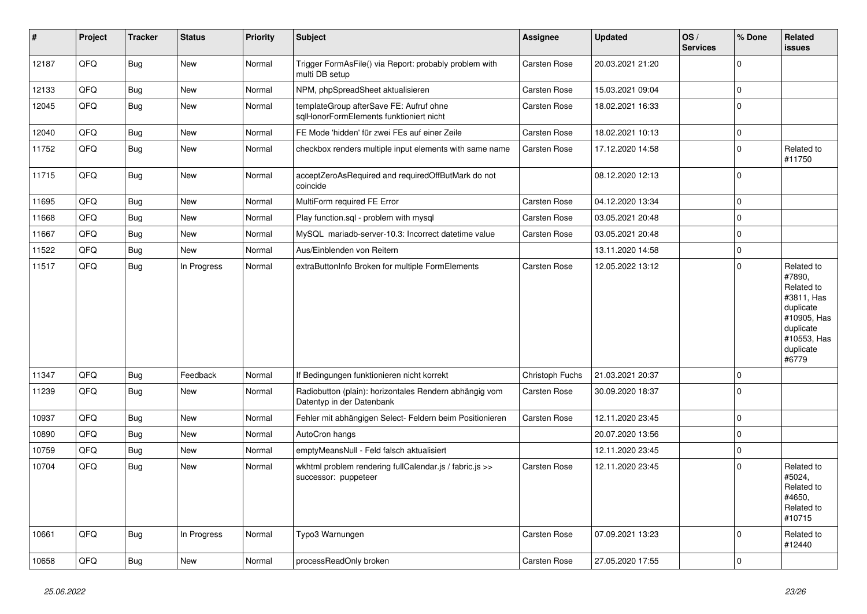| #     | Project | <b>Tracker</b> | <b>Status</b> | <b>Priority</b> | <b>Subject</b>                                                                      | Assignee            | <b>Updated</b>   | OS/<br><b>Services</b> | % Done      | <b>Related</b><br><b>issues</b>                                                                                                |
|-------|---------|----------------|---------------|-----------------|-------------------------------------------------------------------------------------|---------------------|------------------|------------------------|-------------|--------------------------------------------------------------------------------------------------------------------------------|
| 12187 | QFQ     | <b>Bug</b>     | <b>New</b>    | Normal          | Trigger FormAsFile() via Report: probably problem with<br>multi DB setup            | Carsten Rose        | 20.03.2021 21:20 |                        | $\mathbf 0$ |                                                                                                                                |
| 12133 | QFQ     | <b>Bug</b>     | <b>New</b>    | Normal          | NPM, phpSpreadSheet aktualisieren                                                   | Carsten Rose        | 15.03.2021 09:04 |                        | 0           |                                                                                                                                |
| 12045 | QFQ     | <b>Bug</b>     | <b>New</b>    | Normal          | templateGroup afterSave FE: Aufruf ohne<br>sglHonorFormElements funktioniert nicht  | <b>Carsten Rose</b> | 18.02.2021 16:33 |                        | $\Omega$    |                                                                                                                                |
| 12040 | QFQ     | <b>Bug</b>     | <b>New</b>    | Normal          | FE Mode 'hidden' für zwei FEs auf einer Zeile                                       | <b>Carsten Rose</b> | 18.02.2021 10:13 |                        | $\mathbf 0$ |                                                                                                                                |
| 11752 | QFQ     | Bug            | <b>New</b>    | Normal          | checkbox renders multiple input elements with same name                             | <b>Carsten Rose</b> | 17.12.2020 14:58 |                        | $\mathbf 0$ | Related to<br>#11750                                                                                                           |
| 11715 | QFQ     | <b>Bug</b>     | New           | Normal          | acceptZeroAsRequired and requiredOffButMark do not<br>coincide                      |                     | 08.12.2020 12:13 |                        | $\mathbf 0$ |                                                                                                                                |
| 11695 | QFQ     | <b>Bug</b>     | <b>New</b>    | Normal          | MultiForm required FE Error                                                         | Carsten Rose        | 04.12.2020 13:34 |                        | $\pmb{0}$   |                                                                                                                                |
| 11668 | QFQ     | <b>Bug</b>     | <b>New</b>    | Normal          | Play function.sql - problem with mysql                                              | Carsten Rose        | 03.05.2021 20:48 |                        | $\mathbf 0$ |                                                                                                                                |
| 11667 | QFQ     | <b>Bug</b>     | New           | Normal          | MySQL mariadb-server-10.3: Incorrect datetime value                                 | Carsten Rose        | 03.05.2021 20:48 |                        | $\mathbf 0$ |                                                                                                                                |
| 11522 | QFQ     | <b>Bug</b>     | New           | Normal          | Aus/Einblenden von Reitern                                                          |                     | 13.11.2020 14:58 |                        | $\mathbf 0$ |                                                                                                                                |
| 11517 | QFQ     | Bug            | In Progress   | Normal          | extraButtonInfo Broken for multiple FormElements                                    | <b>Carsten Rose</b> | 12.05.2022 13:12 |                        | $\mathbf 0$ | Related to<br>#7890,<br>Related to<br>#3811, Has<br>duplicate<br>#10905, Has<br>duplicate<br>#10553, Has<br>duplicate<br>#6779 |
| 11347 | QFQ     | <b>Bug</b>     | Feedback      | Normal          | If Bedingungen funktionieren nicht korrekt                                          | Christoph Fuchs     | 21.03.2021 20:37 |                        | $\mathbf 0$ |                                                                                                                                |
| 11239 | QFQ     | Bug            | New           | Normal          | Radiobutton (plain): horizontales Rendern abhängig vom<br>Datentyp in der Datenbank | <b>Carsten Rose</b> | 30.09.2020 18:37 |                        | $\mathbf 0$ |                                                                                                                                |
| 10937 | QFQ     | <b>Bug</b>     | <b>New</b>    | Normal          | Fehler mit abhängigen Select- Feldern beim Positionieren                            | Carsten Rose        | 12.11.2020 23:45 |                        | $\pmb{0}$   |                                                                                                                                |
| 10890 | QFQ     | <b>Bug</b>     | <b>New</b>    | Normal          | AutoCron hangs                                                                      |                     | 20.07.2020 13:56 |                        | $\pmb{0}$   |                                                                                                                                |
| 10759 | QFQ     | <b>Bug</b>     | <b>New</b>    | Normal          | emptyMeansNull - Feld falsch aktualisiert                                           |                     | 12.11.2020 23:45 |                        | $\pmb{0}$   |                                                                                                                                |
| 10704 | QFQ     | <b>Bug</b>     | New           | Normal          | wkhtml problem rendering fullCalendar.js / fabric.js >><br>successor: puppeteer     | <b>Carsten Rose</b> | 12.11.2020 23:45 |                        | $\Omega$    | Related to<br>#5024,<br>Related to<br>#4650.<br>Related to<br>#10715                                                           |
| 10661 | QFQ     | <b>Bug</b>     | In Progress   | Normal          | Typo3 Warnungen                                                                     | <b>Carsten Rose</b> | 07.09.2021 13:23 |                        | $\Omega$    | Related to<br>#12440                                                                                                           |
| 10658 | QFQ     | Bug            | New           | Normal          | processReadOnly broken                                                              | Carsten Rose        | 27.05.2020 17:55 |                        | $\mathbf 0$ |                                                                                                                                |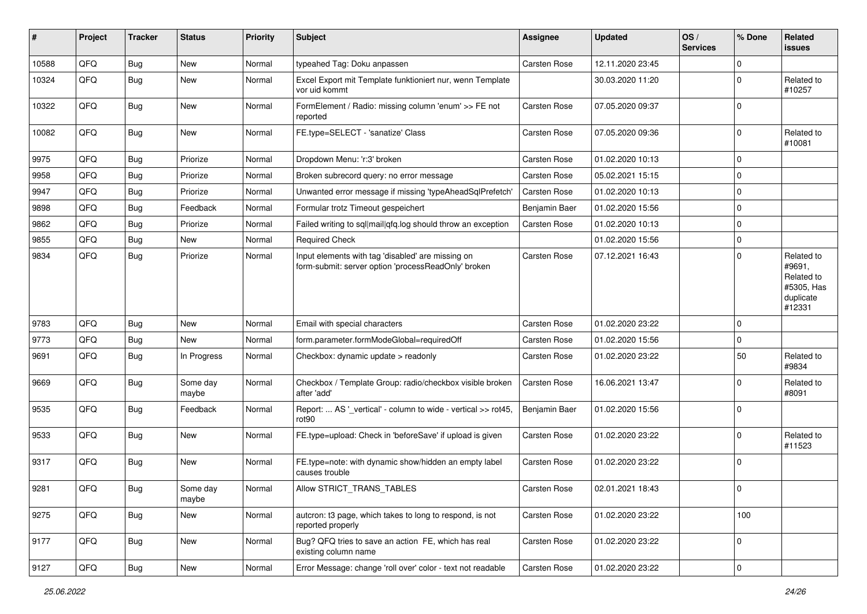| #     | Project | <b>Tracker</b> | <b>Status</b>     | <b>Priority</b> | <b>Subject</b>                                                                                           | Assignee      | <b>Updated</b>   | OS/<br><b>Services</b> | % Done      | Related<br>issues                                                       |
|-------|---------|----------------|-------------------|-----------------|----------------------------------------------------------------------------------------------------------|---------------|------------------|------------------------|-------------|-------------------------------------------------------------------------|
| 10588 | QFQ     | Bug            | New               | Normal          | typeahed Tag: Doku anpassen                                                                              | Carsten Rose  | 12.11.2020 23:45 |                        | $\mathbf 0$ |                                                                         |
| 10324 | QFQ     | Bug            | <b>New</b>        | Normal          | Excel Export mit Template funktioniert nur, wenn Template<br>vor uid kommt                               |               | 30.03.2020 11:20 |                        | $\mathbf 0$ | Related to<br>#10257                                                    |
| 10322 | QFQ     | Bug            | New               | Normal          | FormElement / Radio: missing column 'enum' >> FE not<br>reported                                         | Carsten Rose  | 07.05.2020 09:37 |                        | $\Omega$    |                                                                         |
| 10082 | QFQ     | Bug            | <b>New</b>        | Normal          | FE.type=SELECT - 'sanatize' Class                                                                        | Carsten Rose  | 07.05.2020 09:36 |                        | $\Omega$    | Related to<br>#10081                                                    |
| 9975  | QFQ     | Bug            | Priorize          | Normal          | Dropdown Menu: 'r:3' broken                                                                              | Carsten Rose  | 01.02.2020 10:13 |                        | $\Omega$    |                                                                         |
| 9958  | QFQ     | <b>Bug</b>     | Priorize          | Normal          | Broken subrecord query: no error message                                                                 | Carsten Rose  | 05.02.2021 15:15 |                        | $\mathbf 0$ |                                                                         |
| 9947  | QFQ     | Bug            | Priorize          | Normal          | Unwanted error message if missing 'typeAheadSqlPrefetch'                                                 | Carsten Rose  | 01.02.2020 10:13 |                        | $\mathbf 0$ |                                                                         |
| 9898  | QFQ     | Bug            | Feedback          | Normal          | Formular trotz Timeout gespeichert                                                                       | Benjamin Baer | 01.02.2020 15:56 |                        | $\mathbf 0$ |                                                                         |
| 9862  | QFQ     | <b>Bug</b>     | Priorize          | Normal          | Failed writing to sql mail qfq.log should throw an exception                                             | Carsten Rose  | 01.02.2020 10:13 |                        | $\mathbf 0$ |                                                                         |
| 9855  | QFQ     | <b>Bug</b>     | New               | Normal          | <b>Required Check</b>                                                                                    |               | 01.02.2020 15:56 |                        | $\mathbf 0$ |                                                                         |
| 9834  | QFQ     | Bug            | Priorize          | Normal          | Input elements with tag 'disabled' are missing on<br>form-submit: server option 'processReadOnly' broken | Carsten Rose  | 07.12.2021 16:43 |                        | $\Omega$    | Related to<br>#9691,<br>Related to<br>#5305, Has<br>duplicate<br>#12331 |
| 9783  | QFQ     | <b>Bug</b>     | <b>New</b>        | Normal          | Email with special characters                                                                            | Carsten Rose  | 01.02.2020 23:22 |                        | $\Omega$    |                                                                         |
| 9773  | QFQ     | Bug            | New               | Normal          | form.parameter.formModeGlobal=requiredOff                                                                | Carsten Rose  | 01.02.2020 15:56 |                        | 0           |                                                                         |
| 9691  | QFQ     | Bug            | In Progress       | Normal          | Checkbox: dynamic update > readonly                                                                      | Carsten Rose  | 01.02.2020 23:22 |                        | 50          | Related to<br>#9834                                                     |
| 9669  | QFQ     | Bug            | Some day<br>maybe | Normal          | Checkbox / Template Group: radio/checkbox visible broken<br>after 'add'                                  | Carsten Rose  | 16.06.2021 13:47 |                        | $\Omega$    | Related to<br>#8091                                                     |
| 9535  | QFQ     | Bug            | Feedback          | Normal          | Report:  AS '_vertical' - column to wide - vertical >> rot45,<br>rot <sub>90</sub>                       | Benjamin Baer | 01.02.2020 15:56 |                        | $\mathbf 0$ |                                                                         |
| 9533  | QFQ     | Bug            | <b>New</b>        | Normal          | FE.type=upload: Check in 'beforeSave' if upload is given                                                 | Carsten Rose  | 01.02.2020 23:22 |                        | $\Omega$    | Related to<br>#11523                                                    |
| 9317  | QFQ     | Bug            | <b>New</b>        | Normal          | FE.type=note: with dynamic show/hidden an empty label<br>causes trouble                                  | Carsten Rose  | 01.02.2020 23:22 |                        | 0           |                                                                         |
| 9281  | QFQ     | Bug            | Some day<br>maybe | Normal          | Allow STRICT_TRANS_TABLES                                                                                | Carsten Rose  | 02.01.2021 18:43 |                        | 0           |                                                                         |
| 9275  | QFQ     | <b>Bug</b>     | New               | Normal          | autcron: t3 page, which takes to long to respond, is not<br>reported properly                            | Carsten Rose  | 01.02.2020 23:22 |                        | 100         |                                                                         |
| 9177  | QFQ     | Bug            | New               | Normal          | Bug? QFQ tries to save an action FE, which has real<br>existing column name                              | Carsten Rose  | 01.02.2020 23:22 |                        | 0           |                                                                         |
| 9127  | QFQ     | Bug            | New               | Normal          | Error Message: change 'roll over' color - text not readable                                              | Carsten Rose  | 01.02.2020 23:22 |                        | $\pmb{0}$   |                                                                         |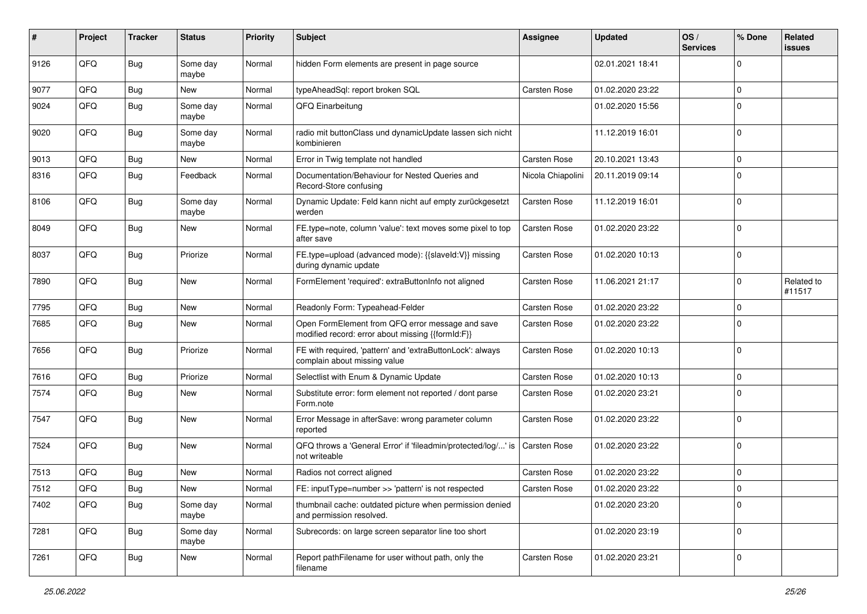| #    | Project | <b>Tracker</b> | <b>Status</b>     | <b>Priority</b> | <b>Subject</b>                                                                                        | Assignee            | <b>Updated</b>   | OS/<br><b>Services</b> | % Done      | Related<br><b>issues</b> |
|------|---------|----------------|-------------------|-----------------|-------------------------------------------------------------------------------------------------------|---------------------|------------------|------------------------|-------------|--------------------------|
| 9126 | QFQ     | Bug            | Some day<br>maybe | Normal          | hidden Form elements are present in page source                                                       |                     | 02.01.2021 18:41 |                        | $\Omega$    |                          |
| 9077 | QFQ     | <b>Bug</b>     | New               | Normal          | typeAheadSql: report broken SQL                                                                       | Carsten Rose        | 01.02.2020 23:22 |                        | $\Omega$    |                          |
| 9024 | QFQ     | Bug            | Some day<br>maybe | Normal          | QFQ Einarbeitung                                                                                      |                     | 01.02.2020 15:56 |                        | $\Omega$    |                          |
| 9020 | QFQ     | <b>Bug</b>     | Some day<br>maybe | Normal          | radio mit buttonClass und dynamicUpdate lassen sich nicht<br>kombinieren                              |                     | 11.12.2019 16:01 |                        | $\Omega$    |                          |
| 9013 | QFQ     | Bug            | New               | Normal          | Error in Twig template not handled                                                                    | Carsten Rose        | 20.10.2021 13:43 |                        | $\Omega$    |                          |
| 8316 | QFQ     | Bug            | Feedback          | Normal          | Documentation/Behaviour for Nested Queries and<br>Record-Store confusing                              | Nicola Chiapolini   | 20.11.2019 09:14 |                        | $\Omega$    |                          |
| 8106 | QFQ     | Bug            | Some day<br>maybe | Normal          | Dynamic Update: Feld kann nicht auf empty zurückgesetzt<br>werden                                     | Carsten Rose        | 11.12.2019 16:01 |                        | $\Omega$    |                          |
| 8049 | QFQ     | <b>Bug</b>     | New               | Normal          | FE.type=note, column 'value': text moves some pixel to top<br>after save                              | Carsten Rose        | 01.02.2020 23:22 |                        | $\Omega$    |                          |
| 8037 | QFQ     | <b>Bug</b>     | Priorize          | Normal          | FE.type=upload (advanced mode): {{slaveld:V}} missing<br>during dynamic update                        | Carsten Rose        | 01.02.2020 10:13 |                        | $\Omega$    |                          |
| 7890 | QFQ     | Bug            | <b>New</b>        | Normal          | FormElement 'required': extraButtonInfo not aligned                                                   | Carsten Rose        | 11.06.2021 21:17 |                        | $\mathbf 0$ | Related to<br>#11517     |
| 7795 | QFQ     | Bug            | <b>New</b>        | Normal          | Readonly Form: Typeahead-Felder                                                                       | Carsten Rose        | 01.02.2020 23:22 |                        | $\Omega$    |                          |
| 7685 | QFQ     | <b>Bug</b>     | New               | Normal          | Open FormElement from QFQ error message and save<br>modified record: error about missing {{formId:F}} | Carsten Rose        | 01.02.2020 23:22 |                        | $\Omega$    |                          |
| 7656 | QFQ     | Bug            | Priorize          | Normal          | FE with required, 'pattern' and 'extraButtonLock': always<br>complain about missing value             | Carsten Rose        | 01.02.2020 10:13 |                        | $\Omega$    |                          |
| 7616 | QFQ     | Bug            | Priorize          | Normal          | Selectlist with Enum & Dynamic Update                                                                 | Carsten Rose        | 01.02.2020 10:13 |                        | $\mathbf 0$ |                          |
| 7574 | QFQ     | Bug            | New               | Normal          | Substitute error: form element not reported / dont parse<br>Form.note                                 | Carsten Rose        | 01.02.2020 23:21 |                        | $\Omega$    |                          |
| 7547 | QFQ     | Bug            | New               | Normal          | Error Message in afterSave: wrong parameter column<br>reported                                        | Carsten Rose        | 01.02.2020 23:22 |                        | $\Omega$    |                          |
| 7524 | QFQ     | Bug            | <b>New</b>        | Normal          | QFQ throws a 'General Error' if 'fileadmin/protected/log/' is<br>not writeable                        | <b>Carsten Rose</b> | 01.02.2020 23:22 |                        | $\Omega$    |                          |
| 7513 | QFQ     | Bug            | New               | Normal          | Radios not correct aligned                                                                            | Carsten Rose        | 01.02.2020 23:22 |                        | $\Omega$    |                          |
| 7512 | QFQ     | Bug            | New               | Normal          | FE: inputType=number >> 'pattern' is not respected                                                    | Carsten Rose        | 01.02.2020 23:22 |                        | $\Omega$    |                          |
| 7402 | QFQ     | <b>Bug</b>     | Some day<br>maybe | Normal          | thumbnail cache: outdated picture when permission denied<br>and permission resolved.                  |                     | 01.02.2020 23:20 |                        | $\mathbf 0$ |                          |
| 7281 | QFQ     | Bug            | Some day<br>maybe | Normal          | Subrecords: on large screen separator line too short                                                  |                     | 01.02.2020 23:19 |                        | $\mathbf 0$ |                          |
| 7261 | QFQ     | <b>Bug</b>     | New               | Normal          | Report pathFilename for user without path, only the<br>filename                                       | Carsten Rose        | 01.02.2020 23:21 |                        | $\mathbf 0$ |                          |